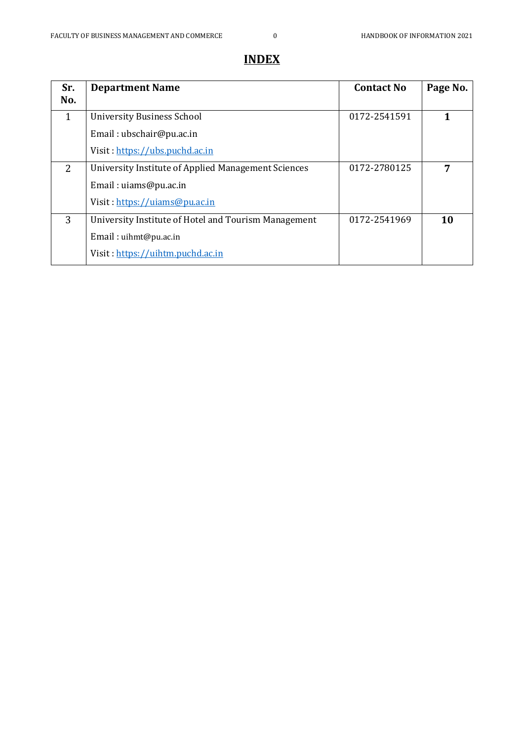# **Sr. No. Department Name Contact No** Page No. 1 | University Business School Email : ubschair@pu.ac.in Visit : [https://ubs.puchd.ac.in](https://ubs.puchd.ac.in/) 0172-2541591 **1** 2 University Institute of Applied Management Sciences Email : uiams@pu.ac.in Visit : <https://uiams@pu.ac.in> 0172-2780125 **7** 3 University Institute of Hotel and Tourism Management Email : uihmt@pu.ac.in Visit : [https://uihtm.puchd.ac.in](https://uihtm.puchd.ac.in/) 0172-2541969 **10**

# **INDEX**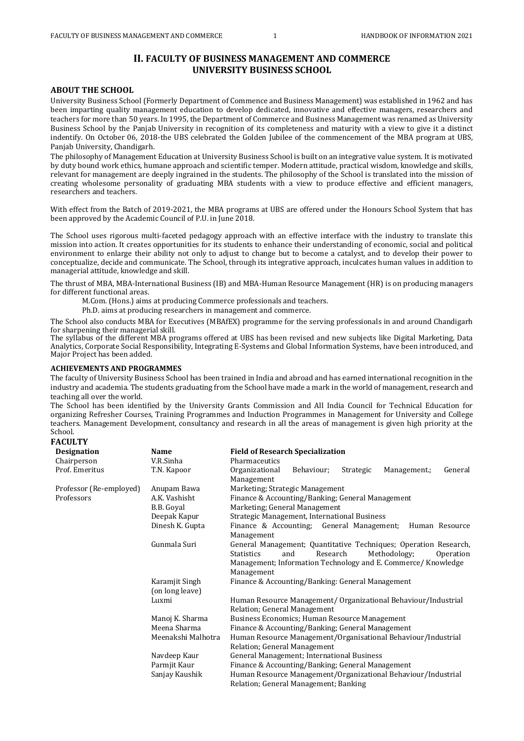## **II. FACULTY OF BUSINESS MANAGEMENT AND COMMERCE UNIVERSITY BUSINESS SCHOOL**

## **ABOUT THE SCHOOL**

University Business School (Formerly Department of Commence and Business Management) was established in 1962 and has been imparting quality management education to develop dedicated, innovative and effective managers, researchers and teachers for more than 50 years. In 1995, the Department of Commerce and Business Management was renamed as University Business School by the Panjab University in recognition of its completeness and maturity with a view to give it a distinct indentify. On October 06, 2018-the UBS celebrated the Golden Jubilee of the commencement of the MBA program at UBS, Panjab University, Chandigarh.

The philosophy of Management Education at University Business School is built on an integrative value system. It is motivated by duty bound work ethics, humane approach and scientific temper. Modern attitude, practical wisdom, knowledge and skills, relevant for management are deeply ingrained in the students. The philosophy of the School is translated into the mission of creating wholesome personality of graduating MBA students with a view to produce effective and efficient managers, researchers and teachers.

With effect from the Batch of 2019-2021, the MBA programs at UBS are offered under the Honours School System that has been approved by the Academic Council of P.U. in June 2018.

The School uses rigorous multi-faceted pedagogy approach with an effective interface with the industry to translate this mission into action. It creates opportunities for its students to enhance their understanding of economic, social and political environment to enlarge their ability not only to adjust to change but to become a catalyst, and to develop their power to conceptualize, decide and communicate. The School, through its integrative approach, inculcates human values in addition to managerial attitude, knowledge and skill.

The thrust of MBA, MBA-International Business (IB) and MBA-Human Resource Management (HR) is on producing managers for different functional areas.

- M.Com. (Hons.) aims at producing Commerce professionals and teachers.
- Ph.D. aims at producing researchers in management and commerce.

The School also conducts MBA for Executives (MBAfEX) programme for the serving professionals in and around Chandigarh for sharpening their managerial skill.

The syllabus of the different MBA programs offered at UBS has been revised and new subjects like Digital Marketing, Data Analytics, Corporate Social Responsibility, Integrating E-Systems and Global Information Systems, have been introduced, and Major Project has been added.

#### **ACHIEVEMENTS AND PROGRAMMES**

The faculty of University Business School has been trained in India and abroad and has earned international recognition in the industry and academia. The students graduating from the School have made a mark in the world of management, research and teaching all over the world.

The School has been identified by the University Grants Commission and All India Council for Technical Education for organizing Refresher Courses, Training Programmes and Induction Programmes in Management for University and College teachers. Management Development, consultancy and research in all the areas of management is given high priority at the School.

#### **FACULTY**

| <b>Designation</b>      | <b>Name</b>        | <b>Field of Research Specialization</b>                                   |  |  |
|-------------------------|--------------------|---------------------------------------------------------------------------|--|--|
| Chairperson             | V.R.Sinha          | Pharmaceutics                                                             |  |  |
| Prof. Emeritus          | T.N. Kapoor        | Organizational<br>Behaviour;<br>Strategic<br>Management.;<br>General      |  |  |
|                         |                    | Management                                                                |  |  |
| Professor (Re-employed) | Anupam Bawa        | Marketing; Strategic Management                                           |  |  |
| Professors              | A.K. Vashisht      | Finance & Accounting/Banking; General Management                          |  |  |
|                         | B.B. Goval         | Marketing; General Management                                             |  |  |
|                         | Deepak Kapur       | Strategic Management, International Business                              |  |  |
|                         | Dinesh K. Gupta    | Finance & Accounting; General Management;<br>Human Resource<br>Management |  |  |
|                         | Gunmala Suri       | General Management; Quantitative Techniques; Operation Research,          |  |  |
|                         |                    | <b>Statistics</b><br>and<br>Research<br>Methodology;<br>Operation         |  |  |
|                         |                    | Management; Information Technology and E. Commerce/ Knowledge             |  |  |
|                         |                    | Management                                                                |  |  |
| Karamjit Singh          |                    | Finance & Accounting/Banking: General Management                          |  |  |
|                         | (on long leave)    |                                                                           |  |  |
|                         | Luxmi              | Human Resource Management/ Organizational Behaviour/Industrial            |  |  |
|                         |                    | Relation; General Management                                              |  |  |
|                         | Manoj K. Sharma    | Business Economics; Human Resource Management                             |  |  |
|                         | Meena Sharma       | Finance & Accounting/Banking; General Management                          |  |  |
|                         | Meenakshi Malhotra | Human Resource Management/Organisational Behaviour/Industrial             |  |  |
|                         |                    | Relation; General Management                                              |  |  |
|                         | Navdeep Kaur       | General Management; International Business                                |  |  |
|                         | Parmjit Kaur       | Finance & Accounting/Banking; General Management                          |  |  |
|                         | Sanjay Kaushik     | Human Resource Management/Organizational Behaviour/Industrial             |  |  |
|                         |                    | Relation; General Management; Banking                                     |  |  |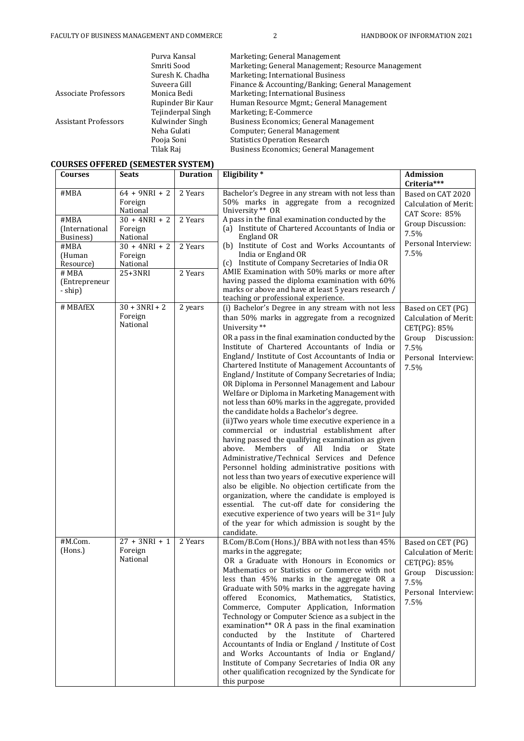|                             | Purva Kansal      | Marketing: General Management                      |
|-----------------------------|-------------------|----------------------------------------------------|
|                             | Smriti Sood       | Marketing; General Management; Resource Management |
|                             | Suresh K. Chadha  | Marketing: International Business                  |
|                             | Suveera Gill      | Finance & Accounting/Banking; General Management   |
| Associate Professors        | Monica Bedi       | Marketing: International Business                  |
|                             | Rupinder Bir Kaur | Human Resource Mgmt.; General Management           |
|                             | Tejinderpal Singh | Marketing: E-Commerce                              |
| <b>Assistant Professors</b> | Kulwinder Singh   | <b>Business Economics; General Management</b>      |
|                             | Neha Gulati       | Computer; General Management                       |
|                             | Pooja Soni        | <b>Statistics Operation Research</b>               |
|                             | Tilak Raj         | <b>Business Economics; General Management</b>      |

# **COURSES OFFERED (SEMESTER SYSTEM)**

|                                     | OURSES OFFERED (SEMESTER SYSTEM)       |                 |                                                                                                                                                                                                                                                                                                                                                                                                                                                                                                                                                                                                                                                                                                                                                                                                                                                                                                                                                                                                                                                                                                                                                                                                                                                               |                                                                                                                                  |
|-------------------------------------|----------------------------------------|-----------------|---------------------------------------------------------------------------------------------------------------------------------------------------------------------------------------------------------------------------------------------------------------------------------------------------------------------------------------------------------------------------------------------------------------------------------------------------------------------------------------------------------------------------------------------------------------------------------------------------------------------------------------------------------------------------------------------------------------------------------------------------------------------------------------------------------------------------------------------------------------------------------------------------------------------------------------------------------------------------------------------------------------------------------------------------------------------------------------------------------------------------------------------------------------------------------------------------------------------------------------------------------------|----------------------------------------------------------------------------------------------------------------------------------|
| <b>Courses</b>                      | <b>Seats</b>                           | <b>Duration</b> | Eligibility*                                                                                                                                                                                                                                                                                                                                                                                                                                                                                                                                                                                                                                                                                                                                                                                                                                                                                                                                                                                                                                                                                                                                                                                                                                                  | <b>Admission</b><br>Criteria***                                                                                                  |
| #MBA                                | $64 + 9NRI + 2$<br>Foreign<br>National | 2 Years         | Bachelor's Degree in any stream with not less than<br>50% marks in aggregate from a recognized<br>University ** OR                                                                                                                                                                                                                                                                                                                                                                                                                                                                                                                                                                                                                                                                                                                                                                                                                                                                                                                                                                                                                                                                                                                                            | Based on CAT 2020<br>Calculation of Merit:<br>CAT Score: 85%                                                                     |
| #MBA<br>(International<br>Business) | $30 + 4NRI + 2$<br>Foreign<br>National | 2 Years         | A pass in the final examination conducted by the<br>(a) Institute of Chartered Accountants of India or<br>England OR                                                                                                                                                                                                                                                                                                                                                                                                                                                                                                                                                                                                                                                                                                                                                                                                                                                                                                                                                                                                                                                                                                                                          | Group Discussion:<br>7.5%                                                                                                        |
| #MBA<br>(Human<br>Resource)         | $30 + 4NRI + 2$<br>Foreign<br>National | 2 Years         | (b) Institute of Cost and Works Accountants of<br>India or England OR<br>(c) Institute of Company Secretaries of India OR                                                                                                                                                                                                                                                                                                                                                                                                                                                                                                                                                                                                                                                                                                                                                                                                                                                                                                                                                                                                                                                                                                                                     | Personal Interview:<br>7.5%                                                                                                      |
| # MBA<br>(Entrepreneur<br>- ship)   | 25+3NRI                                | 2 Years         | AMIE Examination with 50% marks or more after<br>having passed the diploma examination with 60%<br>marks or above and have at least 5 years research /<br>teaching or professional experience.                                                                                                                                                                                                                                                                                                                                                                                                                                                                                                                                                                                                                                                                                                                                                                                                                                                                                                                                                                                                                                                                |                                                                                                                                  |
| # MBAfEX                            | $30 + 3NRI + 2$<br>Foreign<br>National | 2 years         | (i) Bachelor's Degree in any stream with not less<br>than 50% marks in aggregate from a recognized<br>University **<br>OR a pass in the final examination conducted by the<br>Institute of Chartered Accountants of India or<br>England/ Institute of Cost Accountants of India or<br>Chartered Institute of Management Accountants of<br>England/Institute of Company Secretaries of India;<br>OR Diploma in Personnel Management and Labour<br>Welfare or Diploma in Marketing Management with<br>not less than 60% marks in the aggregate, provided<br>the candidate holds a Bachelor's degree.<br>(ii) Two years whole time executive experience in a<br>commercial or industrial establishment after<br>having passed the qualifying examination as given<br>Members of All India or<br>above.<br>State<br>Administrative/Technical Services and Defence<br>Personnel holding administrative positions with<br>not less than two years of executive experience will<br>also be eligible. No objection certificate from the<br>organization, where the candidate is employed is<br>essential. The cut-off date for considering the<br>executive experience of two years will be 31 <sup>st</sup> July<br>of the year for which admission is sought by the | Based on CET (PG)<br><b>Calculation of Merit:</b><br>CET(PG): 85%<br>Group<br>Discussion:<br>7.5%<br>Personal Interview:<br>7.5% |
| #M.Com.<br>(Hons.)                  | $27 + 3NRI + 1$<br>Foreign<br>National | 2 Years         | candidate.<br>B.Com/B.Com (Hons.)/ BBA with not less than 45%<br>marks in the aggregate;<br>OR a Graduate with Honours in Economics or<br>Mathematics or Statistics or Commerce with not<br>less than 45% marks in the aggregate OR a<br>Graduate with 50% marks in the aggregate having<br>offered<br>Economics,<br>Mathematics,<br>Statistics,<br>Commerce, Computer Application, Information<br>Technology or Computer Science as a subject in the<br>examination** OR A pass in the final examination<br>conducted by the Institute of Chartered<br>Accountants of India or England / Institute of Cost<br>and Works Accountants of India or England/<br>Institute of Company Secretaries of India OR any<br>other qualification recognized by the Syndicate for<br>this purpose                                                                                                                                                                                                                                                                                                                                                                                                                                                                          | Based on CET (PG)<br>Calculation of Merit:<br>CET(PG): 85%<br>Group<br>Discussion:<br>7.5%<br>Personal Interview:<br>7.5%        |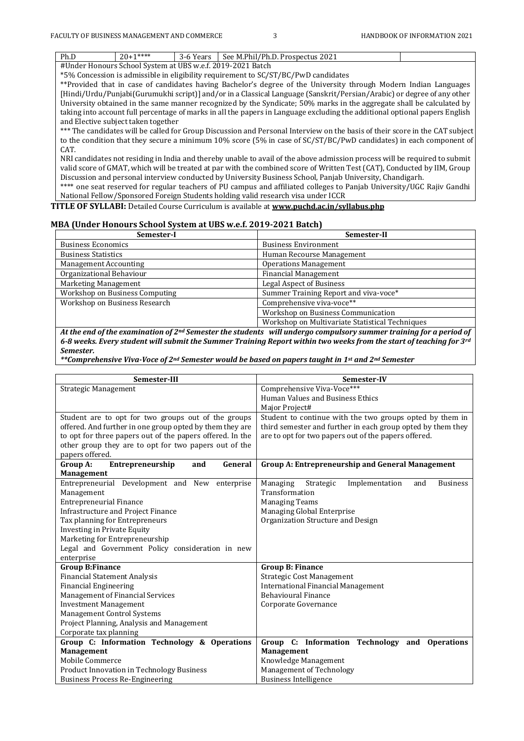| Ph.D                                                                                                                         | $20+1***$                                                  | 3-6 Years | See M.Phil/Ph.D. Prospectus 2021                                                   |  |
|------------------------------------------------------------------------------------------------------------------------------|------------------------------------------------------------|-----------|------------------------------------------------------------------------------------|--|
|                                                                                                                              | #Under Honours School System at UBS w.e.f. 2019-2021 Batch |           |                                                                                    |  |
|                                                                                                                              |                                                            |           | *5% Concession is admissible in eligibility requirement to SC/ST/BC/PwD candidates |  |
| **Provided that in case of candidates having Bachelor's degree of the University through Modern Indian Languages             |                                                            |           |                                                                                    |  |
| [Hindi/Urdu/Punjabi(Gurumukhi script)] and/or in a Classical Language (Sanskrit/Persian/Arabic) or degree of any other       |                                                            |           |                                                                                    |  |
| University obtained in the same manner recognized by the Syndicate; 50% marks in the aggregate shall be calculated by        |                                                            |           |                                                                                    |  |
| taking into account full percentage of marks in all the papers in Language excluding the additional optional papers English  |                                                            |           |                                                                                    |  |
| and Elective subject taken together                                                                                          |                                                            |           |                                                                                    |  |
| *** The candidates will be called for Group Discussion and Personal Interview on the basis of their score in the CAT subject |                                                            |           |                                                                                    |  |
| to the condition that they secure a minimum 10% score (5% in case of SC/ST/BC/PwD candidates) in each component of           |                                                            |           |                                                                                    |  |
| CAT.                                                                                                                         |                                                            |           |                                                                                    |  |

NRI candidates not residing in India and thereby unable to avail of the above admission process will be required to submit valid score of GMAT, which will be treated at par with the combined score of Written Test (CAT), Conducted by IIM, Group Discussion and personal interview conducted by University Business School, Panjab University, Chandigarh.

\*\*\*\* one seat reserved for regular teachers of PU campus and affiliated colleges to Panjab University/UGC Rajiv Gandhi National Fellow/Sponsored Foreign Students holding valid research visa under ICCR

## **TITLE OF SYLLABI:** Detailed Course Curriculum is available at **[www.puchd.ac.in/syllabus.php](http://www.puchd.ac.in/syllabus.php)**

#### **MBA (Under Honours School System at UBS w.e.f. 2019-2021 Batch)**

| Semester-I                     | Semester-II                                     |
|--------------------------------|-------------------------------------------------|
| Business Economics             | <b>Business Environment</b>                     |
| <b>Business Statistics</b>     | Human Recourse Management                       |
| <b>Management Accounting</b>   | <b>Operations Management</b>                    |
| Organizational Behaviour       | <b>Financial Management</b>                     |
| Marketing Management           | <b>Legal Aspect of Business</b>                 |
| Workshop on Business Computing | Summer Training Report and viva-voce*           |
| Workshop on Business Research  | Comprehensive viva-voce**                       |
|                                | Workshop on Business Communication              |
|                                | Workshop on Multivariate Statistical Techniques |

*At the end of the examination of 2nd Semester the students will undergo compulsory summer training for a period of 6-8 weeks. Every student will submit the Summer Training Report within two weeks from the start of teaching for 3rd Semester.*

*\*\*Comprehensive Viva-Voce of 2nd Semester would be based on papers taught in 1st and 2nd Semester*

| Semester-III                                                                               | Semester-IV                                                       |  |
|--------------------------------------------------------------------------------------------|-------------------------------------------------------------------|--|
| Strategic Management                                                                       | Comprehensive Viva-Voce***                                        |  |
|                                                                                            | Human Values and Business Ethics                                  |  |
|                                                                                            | Major Project#                                                    |  |
| Student are to opt for two groups out of the groups                                        | Student to continue with the two groups opted by them in          |  |
| offered. And further in one group opted by them they are                                   | third semester and further in each group opted by them they       |  |
| to opt for three papers out of the papers offered. In the                                  | are to opt for two papers out of the papers offered.              |  |
| other group they are to opt for two papers out of the                                      |                                                                   |  |
| papers offered.                                                                            |                                                                   |  |
| Group A:<br>Entrepreneurship<br>General<br>and                                             | Group A: Entrepreneurship and General Management                  |  |
| <b>Management</b>                                                                          |                                                                   |  |
| Entrepreneurial Development and New enterprise                                             | Managing<br>Strategic<br>Implementation<br>and<br><b>Business</b> |  |
| Management                                                                                 | Transformation                                                    |  |
| <b>Entrepreneurial Finance</b>                                                             | <b>Managing Teams</b>                                             |  |
| Infrastructure and Project Finance                                                         | Managing Global Enterprise                                        |  |
| Tax planning for Entrepreneurs                                                             | Organization Structure and Design                                 |  |
| <b>Investing in Private Equity</b>                                                         |                                                                   |  |
| Marketing for Entrepreneurship                                                             |                                                                   |  |
| Legal and Government Policy consideration in new                                           |                                                                   |  |
| enterprise                                                                                 |                                                                   |  |
| <b>Group B:Finance</b>                                                                     | <b>Group B: Finance</b>                                           |  |
| <b>Financial Statement Analysis</b>                                                        | <b>Strategic Cost Management</b>                                  |  |
| <b>Financial Engineering</b>                                                               | <b>International Financial Management</b>                         |  |
| Management of Financial Services                                                           | <b>Behavioural Finance</b>                                        |  |
| <b>Investment Management</b>                                                               | Corporate Governance                                              |  |
| <b>Management Control Systems</b>                                                          |                                                                   |  |
| Project Planning, Analysis and Management                                                  |                                                                   |  |
| Corporate tax planning                                                                     |                                                                   |  |
| Group C: Information Technology & Operations                                               | Group C: Information Technology<br>and<br><b>Operations</b>       |  |
| <b>Management</b><br>Mobile Commerce                                                       | <b>Management</b><br>Knowledge Management                         |  |
|                                                                                            | Management of Technology                                          |  |
| <b>Product Innovation in Technology Business</b><br><b>Business Process Re-Engineering</b> | <b>Business Intelligence</b>                                      |  |
|                                                                                            |                                                                   |  |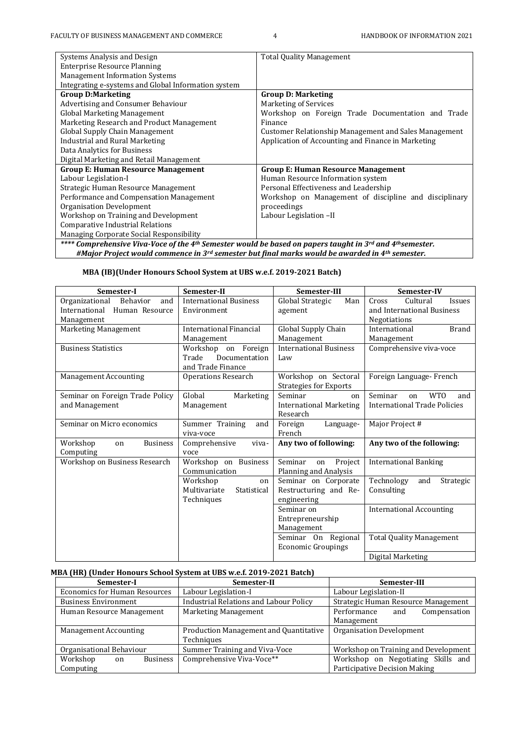| Systems Analysis and Design                                                                                                                   | <b>Total Quality Management</b>                       |
|-----------------------------------------------------------------------------------------------------------------------------------------------|-------------------------------------------------------|
| <b>Enterprise Resource Planning</b>                                                                                                           |                                                       |
| <b>Management Information Systems</b>                                                                                                         |                                                       |
| Integrating e-systems and Global Information system                                                                                           |                                                       |
| <b>Group D:Marketing</b>                                                                                                                      | <b>Group D: Marketing</b>                             |
| Advertising and Consumer Behaviour                                                                                                            | <b>Marketing of Services</b>                          |
| <b>Global Marketing Management</b>                                                                                                            | Workshop on Foreign Trade Documentation and Trade     |
| Marketing Research and Product Management                                                                                                     | Finance                                               |
| Global Supply Chain Management                                                                                                                | Customer Relationship Management and Sales Management |
| <b>Industrial and Rural Marketing</b>                                                                                                         | Application of Accounting and Finance in Marketing    |
| Data Analytics for Business                                                                                                                   |                                                       |
| Digital Marketing and Retail Management                                                                                                       |                                                       |
| <b>Group E: Human Resource Management</b>                                                                                                     | <b>Group E: Human Resource Management</b>             |
| Labour Legislation-I                                                                                                                          | Human Resource Information system                     |
| Strategic Human Resource Management                                                                                                           | Personal Effectiveness and Leadership                 |
| Performance and Compensation Management                                                                                                       | Workshop on Management of discipline and disciplinary |
| Organisation Development                                                                                                                      | proceedings                                           |
| Workshop on Training and Development                                                                                                          | Labour Legislation -II                                |
| <b>Comparative Industrial Relations</b>                                                                                                       |                                                       |
| Managing Corporate Social Responsibility                                                                                                      |                                                       |
| **** Comprehensive Viva-Voce of the 4 <sup>th</sup> Semester would be based on papers taught in 3 <sup>rd</sup> and 4 <sup>th</sup> semester. |                                                       |
| #Major Project would commence in 3rd semester but final marks would be awarded in 4th semester.                                               |                                                       |

## **MBA (IB)(Under Honours School System at UBS w.e.f. 2019-2021 Batch)**

| Semester-I                        | Semester-II                   | Semester-III                   | Semester-IV                         |
|-----------------------------------|-------------------------------|--------------------------------|-------------------------------------|
| Organizational Behavior<br>and    | <b>International Business</b> | Global Strategic<br>Man        | Cultural<br>Cross<br><b>Issues</b>  |
| International Human Resource      | Environment                   | agement                        | and International Business          |
| Management                        |                               |                                | Negotiations                        |
| Marketing Management              | International Financial       | Global Supply Chain            | International<br><b>Brand</b>       |
|                                   | Management                    | Management                     | Management                          |
| <b>Business Statistics</b>        | Workshop on Foreign           | <b>International Business</b>  | Comprehensive viva-voce             |
|                                   | Documentation<br>Trade        | Law                            |                                     |
|                                   | and Trade Finance             |                                |                                     |
| <b>Management Accounting</b>      | <b>Operations Research</b>    | Workshop on Sectoral           | Foreign Language- French            |
|                                   |                               | <b>Strategies for Exports</b>  |                                     |
| Seminar on Foreign Trade Policy   | Global<br>Marketing           | Seminar<br>on                  | <b>WTO</b><br>Seminar<br>and<br>on  |
| and Management                    | Management                    | <b>International Marketing</b> | <b>International Trade Policies</b> |
|                                   |                               | Research                       |                                     |
| Seminar on Micro economics        | Summer Training<br>and        | Foreign<br>Language-           | Major Project #                     |
|                                   | viva-voce                     | French                         |                                     |
| <b>Business</b><br>Workshop<br>on | Comprehensive<br>viva-        | Any two of following:          | Any two of the following:           |
| Computing                         | voce                          |                                |                                     |
| Workshop on Business Research     | Workshop on Business          | Seminar<br>Project<br>on       | <b>International Banking</b>        |
|                                   | Communication                 | Planning and Analysis          |                                     |
|                                   | Workshop<br>on                | Seminar on Corporate           | Technology<br>and<br>Strategic      |
|                                   | Multivariate<br>Statistical   | Restructuring and Re-          | Consulting                          |
|                                   | Techniques                    | engineering                    |                                     |
|                                   |                               | Seminar on                     | <b>International Accounting</b>     |
|                                   |                               | Entrepreneurship               |                                     |
|                                   |                               | Management                     |                                     |
|                                   |                               | Seminar On Regional            | <b>Total Quality Management</b>     |
|                                   |                               | <b>Economic Groupings</b>      |                                     |
|                                   |                               |                                | Digital Marketing                   |

## **MBA (HR) (Under Honours School System at UBS w.e.f. 2019-2021 Batch)**

| Semester-I                           | Semester-II                                   | Semester-III                         |  |
|--------------------------------------|-----------------------------------------------|--------------------------------------|--|
| <b>Economics for Human Resources</b> | Labour Legislation-I                          | Labour Legislation-II                |  |
| <b>Business Environment</b>          | <b>Industrial Relations and Labour Policy</b> | Strategic Human Resource Management  |  |
| Human Resource Management            | Marketing Management                          | Performance<br>Compensation<br>and   |  |
|                                      |                                               | Management                           |  |
| Management Accounting                | Production Management and Quantitative        | Organisation Development             |  |
|                                      | Techniques                                    |                                      |  |
| Organisational Behaviour             | Summer Training and Viva-Voce                 | Workshop on Training and Development |  |
| Workshop<br><b>Business</b><br>on    | Comprehensive Viva-Voce**                     | Workshop on Negotiating Skills and   |  |
| Computing                            |                                               | Participative Decision Making        |  |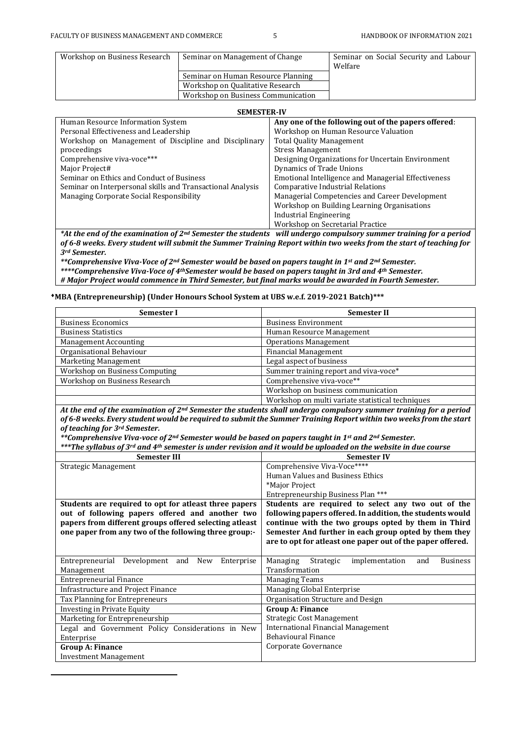$\overline{a}$ 

| Workshop on Business Research | Seminar on Management of Change    | Seminar on Social Security and Labour<br>Welfare |
|-------------------------------|------------------------------------|--------------------------------------------------|
|                               | Seminar on Human Resource Planning |                                                  |
|                               | Workshop on Qualitative Research   |                                                  |
|                               | Workshop on Business Communication |                                                  |

#### **SEMESTER-IV**

| ,,,,,,,,,,,,,,,,,,                                         |                                                     |
|------------------------------------------------------------|-----------------------------------------------------|
| Human Resource Information System                          | Any one of the following out of the papers offered: |
| Personal Effectiveness and Leadership                      | Workshop on Human Resource Valuation                |
| Workshop on Management of Discipline and Disciplinary      | <b>Total Quality Management</b>                     |
| proceedings                                                | <b>Stress Management</b>                            |
| Comprehensive viva-voce***                                 | Designing Organizations for Uncertain Environment   |
| Major Project#                                             | Dynamics of Trade Unions                            |
| Seminar on Ethics and Conduct of Business                  | Emotional Intelligence and Managerial Effectiveness |
| Seminar on Interpersonal skills and Transactional Analysis | Comparative Industrial Relations                    |
| Managing Corporate Social Responsibility                   | Managerial Competencies and Career Development      |
|                                                            | Workshop on Building Learning Organisations         |
|                                                            | Industrial Engineering                              |
|                                                            | Workshop on Secretarial Practice                    |

*\*At the end of the examination of 2nd Semester the students will undergo compulsory summer training for a period of 6-8 weeks. Every student will submit the Summer Training Report within two weeks from the start of teaching for 3rd Semester.*

*\*\*Comprehensive Viva-Voce of 2nd Semester would be based on papers taught in 1st and 2nd Semester. \*\*\*\*Comprehensive Viva-Voce of 4thSemester would be based on papers taught in 3rd and 4th Semester. # Major Project would commence in Third Semester, but final marks would be awarded in Fourth Semester.*

#### **MBA (Entrepreneurship) (Under Honours School System at UBS w.e.f. 2019-2021 Batch)\*\*\***

| Semester I                     | Semester II                                                                                                      |
|--------------------------------|------------------------------------------------------------------------------------------------------------------|
| <b>Business Economics</b>      | <b>Business Environment</b>                                                                                      |
| <b>Business Statistics</b>     | Human Resource Management                                                                                        |
| Management Accounting          | <b>Operations Management</b>                                                                                     |
| Organisational Behaviour       | <b>Financial Management</b>                                                                                      |
| Marketing Management           | Legal aspect of business                                                                                         |
| Workshop on Business Computing | Summer training report and viva-voce*                                                                            |
| Workshop on Business Research  | Comprehensive viva-voce**                                                                                        |
|                                | Workshop on business communication                                                                               |
|                                | Workshop on multi variate statistical techniques                                                                 |
|                                | At the end of the evamination of 2nd Comester the students shall undergo compulsory summer training for a period |

*At the end of the examination of 2nd Semester the students shall undergo compulsory summer training for a period of 6-8 weeks. Every student would be required to submit the Summer Training Report within two weeks from the start of teaching for 3rd Semester.*

*\*\*Comprehensive Viva-voce of 2nd Semester would be based on papers taught in 1st and 2nd Semester.*

*\*\*\*The syllabus of 3rd and 4th semester is under revision and it would be uploaded on the website in due course*

| <b>Semester III</b>                                                                                                                                                | <b>Semester IV</b>                                                                                                                                                        |  |  |
|--------------------------------------------------------------------------------------------------------------------------------------------------------------------|---------------------------------------------------------------------------------------------------------------------------------------------------------------------------|--|--|
| Strategic Management                                                                                                                                               | Comprehensive Viva-Voce****                                                                                                                                               |  |  |
|                                                                                                                                                                    | Human Values and Business Ethics                                                                                                                                          |  |  |
|                                                                                                                                                                    | *Major Project                                                                                                                                                            |  |  |
|                                                                                                                                                                    | Entrepreneurship Business Plan ***                                                                                                                                        |  |  |
| Students are required to opt for atleast three papers                                                                                                              | Students are required to select any two out of the                                                                                                                        |  |  |
| out of following papers offered and another two<br>papers from different groups offered selecting atleast<br>one paper from any two of the following three group:- | following papers offered. In addition, the students would<br>continue with the two groups opted by them in Third<br>Semester And further in each group opted by them they |  |  |
|                                                                                                                                                                    | are to opt for atleast one paper out of the paper offered.                                                                                                                |  |  |
|                                                                                                                                                                    |                                                                                                                                                                           |  |  |
| Entrepreneurial<br>Development and New<br>Enterprise                                                                                                               | Strategic<br>implementation<br>Managing<br><b>Business</b><br>and                                                                                                         |  |  |
| Management                                                                                                                                                         | Transformation                                                                                                                                                            |  |  |
| <b>Entrepreneurial Finance</b>                                                                                                                                     | <b>Managing Teams</b>                                                                                                                                                     |  |  |
| Infrastructure and Project Finance                                                                                                                                 | Managing Global Enterprise                                                                                                                                                |  |  |
| Tax Planning for Entrepreneurs                                                                                                                                     | Organisation Structure and Design                                                                                                                                         |  |  |
| Investing in Private Equity                                                                                                                                        | <b>Group A: Finance</b>                                                                                                                                                   |  |  |
| Marketing for Entrepreneurship                                                                                                                                     | Strategic Cost Management                                                                                                                                                 |  |  |
| Legal and Government Policy Considerations in New                                                                                                                  | <b>International Financial Management</b>                                                                                                                                 |  |  |
| Enterprise                                                                                                                                                         | <b>Behavioural Finance</b>                                                                                                                                                |  |  |
| <b>Group A: Finance</b>                                                                                                                                            | Corporate Governance                                                                                                                                                      |  |  |
| <b>Investment Management</b>                                                                                                                                       |                                                                                                                                                                           |  |  |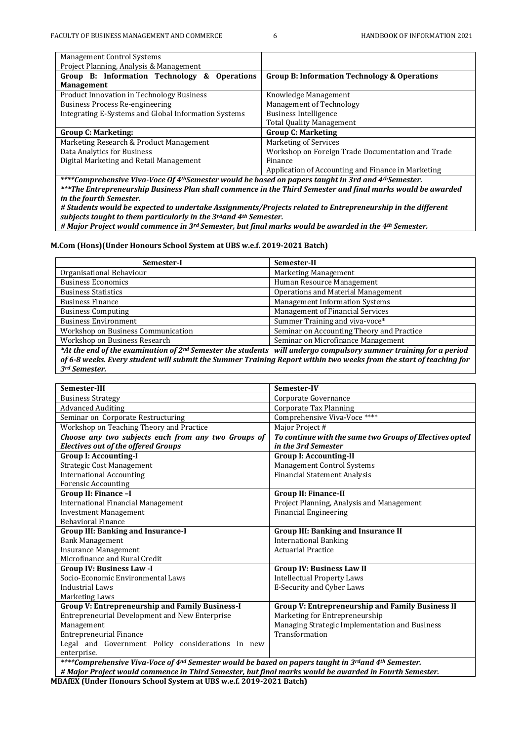| <b>Management Control Systems</b>                    |                                                         |  |
|------------------------------------------------------|---------------------------------------------------------|--|
| Project Planning, Analysis & Management              |                                                         |  |
| Group B: Information Technology & Operations         | <b>Group B: Information Technology &amp; Operations</b> |  |
| <b>Management</b>                                    |                                                         |  |
| <b>Product Innovation in Technology Business</b>     | Knowledge Management                                    |  |
| Business Process Re-engineering                      | Management of Technology                                |  |
| Integrating E-Systems and Global Information Systems | <b>Business Intelligence</b>                            |  |
|                                                      | <b>Total Quality Management</b>                         |  |
| <b>Group C: Marketing:</b>                           | <b>Group C: Marketing</b>                               |  |
| Marketing Research & Product Management              | Marketing of Services                                   |  |
| Data Analytics for Business                          | Workshop on Foreign Trade Documentation and Trade       |  |
| Digital Marketing and Retail Management              | Finance                                                 |  |
|                                                      | Application of Accounting and Finance in Marketing      |  |

*\*\*\*\*Comprehensive Viva-Voce Of 4thSemester would be based on papers taught in 3rd and 4thSemester. \*\*\*The Entrepreneurship Business Plan shall commence in the Third Semester and final marks would be awarded in the fourth Semester.*

*# Students would be expected to undertake Assignments/Projects related to Entrepreneurship in the different subjects taught to them particularly in the 3rdand 4th Semester.* 

*# Major Project would commence in 3rd Semester, but final marks would be awarded in the 4th Semester.*

**M.Com (Hons)(Under Honours School System at UBS w.e.f. 2019-2021 Batch)**

| Semester-I                                                                                                            | Semester-II                               |  |  |
|-----------------------------------------------------------------------------------------------------------------------|-------------------------------------------|--|--|
| Organisational Behaviour                                                                                              | <b>Marketing Management</b>               |  |  |
| <b>Business Economics</b>                                                                                             | Human Resource Management                 |  |  |
| <b>Business Statistics</b>                                                                                            | Operations and Material Management        |  |  |
| <b>Business Finance</b>                                                                                               | <b>Management Information Systems</b>     |  |  |
| <b>Business Computing</b>                                                                                             | Management of Financial Services          |  |  |
| <b>Business Environment</b>                                                                                           | Summer Training and viva-voce*            |  |  |
| Workshop on Business Communication                                                                                    | Seminar on Accounting Theory and Practice |  |  |
| Workshop on Business Research                                                                                         | Seminar on Microfinance Management        |  |  |
| *At the end of the examination of $2^{nd}$ Semester the students will undergo compulsory summer training for a period |                                           |  |  |
| of 6-8 weeks. Every student will submit the Summer Training Report within two weeks from the start of teaching for    |                                           |  |  |
| 3rd Semester.                                                                                                         |                                           |  |  |

| Semester-III                                                                                        | Semester-IV                                             |
|-----------------------------------------------------------------------------------------------------|---------------------------------------------------------|
| <b>Business Strategy</b>                                                                            | Corporate Governance                                    |
| <b>Advanced Auditing</b>                                                                            | <b>Corporate Tax Planning</b>                           |
| Seminar on Corporate Restructuring                                                                  | Comprehensive Viva-Voce ****                            |
| Workshop on Teaching Theory and Practice                                                            | Major Project #                                         |
| Choose any two subjects each from any two Groups of                                                 | To continue with the same two Groups of Electives opted |
| <b>Electives out of the offered Groups</b>                                                          | in the 3rd Semester                                     |
| <b>Group I: Accounting-I</b>                                                                        | <b>Group I: Accounting-II</b>                           |
| <b>Strategic Cost Management</b>                                                                    | Management Control Systems                              |
| <b>International Accounting</b>                                                                     | <b>Financial Statement Analysis</b>                     |
| <b>Forensic Accounting</b>                                                                          |                                                         |
| Group II: Finance -I                                                                                | <b>Group II: Finance-II</b>                             |
| <b>International Financial Management</b>                                                           | Project Planning, Analysis and Management               |
| <b>Investment Management</b>                                                                        | <b>Financial Engineering</b>                            |
| <b>Behavioral Finance</b>                                                                           |                                                         |
| <b>Group III: Banking and Insurance-I</b>                                                           | <b>Group III: Banking and Insurance II</b>              |
| <b>Bank Management</b>                                                                              | <b>International Banking</b>                            |
| <b>Insurance Management</b>                                                                         | <b>Actuarial Practice</b>                               |
| Microfinance and Rural Credit                                                                       |                                                         |
| <b>Group IV: Business Law-I</b>                                                                     | <b>Group IV: Business Law II</b>                        |
| Socio-Economic Environmental Laws                                                                   | <b>Intellectual Property Laws</b>                       |
| <b>Industrial Laws</b>                                                                              | E-Security and Cyber Laws                               |
| Marketing Laws                                                                                      |                                                         |
| <b>Group V: Entrepreneurship and Family Business-I</b>                                              | <b>Group V: Entrepreneurship and Family Business II</b> |
| Entrepreneurial Development and New Enterprise                                                      | Marketing for Entrepreneurship                          |
| Management                                                                                          | Managing Strategic Implementation and Business          |
| <b>Entrepreneurial Finance</b>                                                                      | Transformation                                          |
| Legal and Government Policy considerations in new                                                   |                                                         |
| enterprise.                                                                                         |                                                         |
| ****Comprehensive Viva-Voce of 4nd Semester would be based on papers taught in 3rdand 4th Semester. |                                                         |

*# Major Project would commence in Third Semester, but final marks would be awarded in Fourth Semester.*

**MBAfEX (Under Honours School System at UBS w.e.f. 2019-2021 Batch)**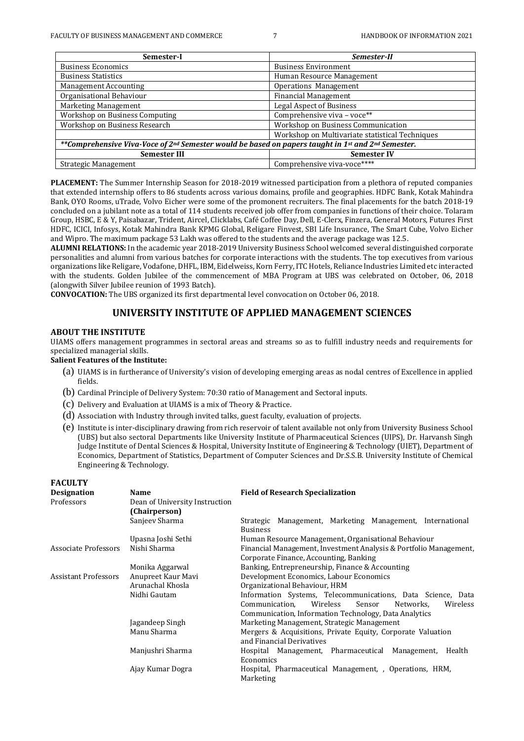| Semester-I                                                                                         | Semester-II                                     |
|----------------------------------------------------------------------------------------------------|-------------------------------------------------|
| <b>Business Economics</b>                                                                          | <b>Business Environment</b>                     |
| <b>Business Statistics</b>                                                                         | Human Resource Management                       |
| <b>Management Accounting</b>                                                                       | <b>Operations Management</b>                    |
| Organisational Behaviour                                                                           | <b>Financial Management</b>                     |
| Marketing Management                                                                               | <b>Legal Aspect of Business</b>                 |
| Workshop on Business Computing                                                                     | Comprehensive viva - voce**                     |
| Workshop on Business Research                                                                      | Workshop on Business Communication              |
|                                                                                                    | Workshop on Multivariate statistical Techniques |
| **Comprehensive Viva-Voce of 2nd Semester would be based on papers taught in 1st and 2nd Semester. |                                                 |
| <b>Semester III</b>                                                                                | <b>Semester IV</b>                              |
| Strategic Management                                                                               | Comprehensive viva-voce****                     |

**PLACEMENT:** The Summer Internship Season for 2018-2019 witnessed participation from a plethora of reputed companies that extended internship offers to 86 students across various domains, profile and geographies. HDFC Bank, Kotak Mahindra Bank, OYO Rooms, uTrade, Volvo Eicher were some of the promonent recruiters. The final placements for the batch 2018-19 concluded on a jubilant note as a total of 114 students received job offer from companies in functions of their choice. Tolaram Group, HSBC, E & Y, Paisabazar, Trident, Aircel, Clicklabs, Café Coffee Day, Dell, E-Clerx, Finzera, General Motors, Futures First HDFC, ICICI, Infosys, Kotak Mahindra Bank KPMG Global, Religare Finvest, SBI Life Insurance, The Smart Cube, Volvo Eicher and Wipro. The maximum package 53 Lakh was offered to the students and the average package was 12.5.

**ALUMNI RELATIONS:** In the academic year 2018-2019 University Business School welcomed several distinguished corporate personalities and alumni from various batches for corporate interactions with the students. The top executives from various organizations like Religare, Vodafone, DHFL, IBM, Eidelweiss, Korn Ferry, ITC Hotels, Reliance Industries Limited etc interacted with the students. Golden Jubilee of the commencement of MBA Program at UBS was celebrated on October, 06, 2018 (alongwith Silver Jubilee reunion of 1993 Batch).

**CONVOCATION:** The UBS organized its first departmental level convocation on October 06, 2018.

# **UNIVERSITY INSTITUTE OF APPLIED MANAGEMENT SCIENCES**

#### **ABOUT THE INSTITUTE**

UIAMS offers management programmes in sectoral areas and streams so as to fulfill industry needs and requirements for specialized managerial skills.

### **Salient Features of the Institute:**

- (a) UIAMS is in furtherance of University's vision of developing emerging areas as nodal centres of Excellence in applied fields.
- (b) Cardinal Principle of Delivery System: 70:30 ratio of Management and Sectoral inputs.
- (c) Delivery and Evaluation at UIAMS is a mix of Theory & Practice.
- (d) Association with Industry through invited talks, guest faculty, evaluation of projects.
- (e) Institute is inter-disciplinary drawing from rich reservoir of talent available not only from University Business School (UBS) but also sectoral Departments like University Institute of Pharmaceutical Sciences (UIPS), Dr. Harvansh Singh Judge Institute of Dental Sciences & Hospital, University Institute of Engineering & Technology (UIET), Department of Economics, Department of Statistics, Department of Computer Sciences and Dr.S.S.B. University Institute of Chemical Engineering & Technology.

| <b>FACULTY</b>       |                                |                                                                   |  |  |
|----------------------|--------------------------------|-------------------------------------------------------------------|--|--|
| <b>Designation</b>   | <b>Name</b>                    | <b>Field of Research Specialization</b>                           |  |  |
| Professors           | Dean of University Instruction |                                                                   |  |  |
|                      | (Chairperson)                  |                                                                   |  |  |
|                      | Sanjeev Sharma                 | Strategic Management, Marketing Management, International         |  |  |
|                      |                                | <b>Business</b>                                                   |  |  |
|                      | Upasna Joshi Sethi             | Human Resource Management, Organisational Behaviour               |  |  |
| Associate Professors | Nishi Sharma                   | Financial Management, Investment Analysis & Portfolio Management, |  |  |
|                      |                                | Corporate Finance, Accounting, Banking                            |  |  |
|                      | Monika Aggarwal                | Banking, Entrepreneurship, Finance & Accounting                   |  |  |
| Assistant Professors | Anupreet Kaur Mavi             | Development Economics, Labour Economics                           |  |  |
|                      | Arunachal Khosla               | Organizational Behaviour, HRM                                     |  |  |
|                      | Nidhi Gautam                   | Information Systems, Telecommunications, Data Science, Data       |  |  |
|                      |                                | Wireless<br>Wireless<br>Communication,<br>Sensor<br>Networks.     |  |  |
|                      |                                | Communication, Information Technology, Data Analytics             |  |  |
|                      | Jagandeep Singh                | Marketing Management, Strategic Management                        |  |  |
|                      | Manu Sharma                    | Mergers & Acquisitions, Private Equity, Corporate Valuation       |  |  |
|                      |                                | and Financial Derivatives                                         |  |  |
|                      | Manjushri Sharma               | Hospital Management, Pharmaceutical Management,<br>Health         |  |  |
|                      |                                | Economics                                                         |  |  |
|                      | Ajay Kumar Dogra               | Hospital, Pharmaceutical Management, , Operations, HRM,           |  |  |
|                      |                                | Marketing                                                         |  |  |
|                      |                                |                                                                   |  |  |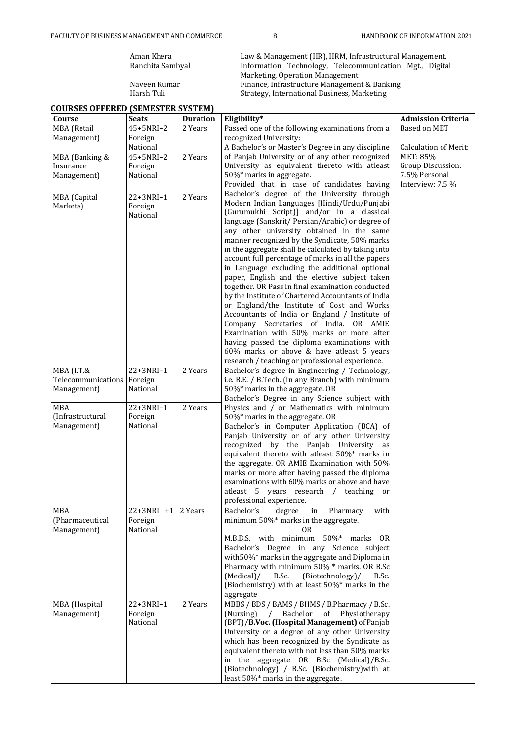**COURSES OFFERED (SEMESTER SYSTEM)**

Aman Khera Law & Management (HR), HRM, Infrastructural Management.<br>
Ranchita Sambyal Information Technology, Telecommunication Mgt., Digita Ranchita Sambyal Information Technology, Telecommunication Mgt., Digital Marketing, Operation Management Naveen Kumar Finance, Infrastructure Management & Banking Harsh Tuli North Strategy, International Business, Marketing

| <b>Based on MET</b><br>$45 + 5NRI + 2$<br>2 Years<br>Passed one of the following examinations from a<br>Management)<br>recognized University:<br>Foreign<br>A Bachelor's or Master's Degree in any discipline<br>National<br>Calculation of Merit:<br>2 Years<br>of Panjab University or of any other recognized<br>MET: 85%<br>45+5NRI+2<br>MBA (Banking &<br>Group Discussion:<br>University as equivalent thereto with atleast<br>Foreign<br>Insurance<br>50%* marks in aggregate.<br>7.5% Personal<br>Management)<br>National<br>Provided that in case of candidates having<br>Interview: 7.5 %<br>Bachelor's degree of the University through<br>MBA (Capital<br>22+3NRI+1<br>2 Years<br>Modern Indian Languages [Hindi/Urdu/Punjabi<br>Markets)<br>Foreign<br>(Gurumukhi Script)] and/or in a classical<br>National<br>language (Sanskrit/ Persian/Arabic) or degree of<br>any other university obtained in the same<br>manner recognized by the Syndicate, 50% marks<br>in the aggregate shall be calculated by taking into<br>account full percentage of marks in all the papers<br>in Language excluding the additional optional<br>paper, English and the elective subject taken<br>together. OR Pass in final examination conducted<br>by the Institute of Chartered Accountants of India<br>or England/the Institute of Cost and Works<br>Accountants of India or England / Institute of<br>Company Secretaries of India. OR AMIE<br>Examination with 50% marks or more after<br>having passed the diploma examinations with<br>60% marks or above & have atleast 5 years<br>research / teaching or professional experience.<br>22+3NRI+1<br>2 Years<br>MBA (I.T.&<br>Bachelor's degree in Engineering / Technology,<br>Telecommunications<br>Foreign<br>i.e. B.E. / B.Tech. (in any Branch) with minimum<br>50%* marks in the aggregate. OR<br>Management)<br>National<br>Bachelor's Degree in any Science subject with<br>$22 + 3NRI + 1$<br>2 Years<br><b>MBA</b><br>Physics and / or Mathematics with minimum<br>(Infrastructural<br>Foreign<br>50%* marks in the aggregate. OR<br>National<br>Management)<br>Bachelor's in Computer Application (BCA) of<br>Panjab University or of any other University<br>recognized by the Panjab University as<br>equivalent thereto with atleast 50%* marks in<br>the aggregate. OR AMIE Examination with 50%<br>marks or more after having passed the diploma<br>examinations with 60% marks or above and have<br>atleast 5 years research / teaching or<br>professional experience.<br>with<br>MBA<br>$22+3NRI$ +1 2 Years<br>Bachelor's<br>degree in Pharmacy<br>minimum 50%* marks in the aggregate.<br>(Pharmaceutical<br>Foreign<br>National<br>Management)<br>0R<br>M.B.B.S. with minimum 50%* marks OR<br>Bachelor's Degree in any Science subject<br>with 50%* marks in the aggregate and Diploma in<br>Pharmacy with minimum 50% * marks. OR B.Sc<br>B.Sc.<br>(Biotechnology)/<br>(Medical)/<br>B.Sc.<br>(Biochemistry) with at least 50%* marks in the<br>aggregate<br>MBBS / BDS / BAMS / BHMS / B.Pharmacy / B.Sc.<br>MBA (Hospital<br>$22 + 3NRI + 1$<br>2 Years<br>Management)<br>Foreign<br>(Nursing)<br>Bachelor of Physiotherapy<br>$\sqrt{2}$<br>National<br>(BPT)/B.Voc. (Hospital Management) of Panjab<br>University or a degree of any other University<br>which has been recognized by the Syndicate as<br>equivalent thereto with not less than 50% marks<br>in the aggregate OR B.Sc (Medical)/B.Sc.<br>(Biotechnology) / B.Sc. (Biochemistry) with at<br>least 50%* marks in the aggregate. | Course             | <b>Seats</b> | <b>Duration</b> | Eligibility* | <b>Admission Criteria</b> |
|------------------------------------------------------------------------------------------------------------------------------------------------------------------------------------------------------------------------------------------------------------------------------------------------------------------------------------------------------------------------------------------------------------------------------------------------------------------------------------------------------------------------------------------------------------------------------------------------------------------------------------------------------------------------------------------------------------------------------------------------------------------------------------------------------------------------------------------------------------------------------------------------------------------------------------------------------------------------------------------------------------------------------------------------------------------------------------------------------------------------------------------------------------------------------------------------------------------------------------------------------------------------------------------------------------------------------------------------------------------------------------------------------------------------------------------------------------------------------------------------------------------------------------------------------------------------------------------------------------------------------------------------------------------------------------------------------------------------------------------------------------------------------------------------------------------------------------------------------------------------------------------------------------------------------------------------------------------------------------------------------------------------------------------------------------------------------------------------------------------------------------------------------------------------------------------------------------------------------------------------------------------------------------------------------------------------------------------------------------------------------------------------------------------------------------------------------------------------------------------------------------------------------------------------------------------------------------------------------------------------------------------------------------------------------------------------------------------------------------------------------------------------------------------------------------------------------------------------------------------------------------------------------------------------------------------------------------------------------------------------------------------------------------------------------------------------------------------------------------------------------------------------------------------------------------------------------------------------------------------------------------------------------------------------------------------------------------------------------------------------------------------------------------------------------------------------------------------------------------------------------------------------------------------------------------------------------|--------------------|--------------|-----------------|--------------|---------------------------|
|                                                                                                                                                                                                                                                                                                                                                                                                                                                                                                                                                                                                                                                                                                                                                                                                                                                                                                                                                                                                                                                                                                                                                                                                                                                                                                                                                                                                                                                                                                                                                                                                                                                                                                                                                                                                                                                                                                                                                                                                                                                                                                                                                                                                                                                                                                                                                                                                                                                                                                                                                                                                                                                                                                                                                                                                                                                                                                                                                                                                                                                                                                                                                                                                                                                                                                                                                                                                                                                                                                                                                                              | <b>MBA</b> (Retail |              |                 |              |                           |
|                                                                                                                                                                                                                                                                                                                                                                                                                                                                                                                                                                                                                                                                                                                                                                                                                                                                                                                                                                                                                                                                                                                                                                                                                                                                                                                                                                                                                                                                                                                                                                                                                                                                                                                                                                                                                                                                                                                                                                                                                                                                                                                                                                                                                                                                                                                                                                                                                                                                                                                                                                                                                                                                                                                                                                                                                                                                                                                                                                                                                                                                                                                                                                                                                                                                                                                                                                                                                                                                                                                                                                              |                    |              |                 |              |                           |
|                                                                                                                                                                                                                                                                                                                                                                                                                                                                                                                                                                                                                                                                                                                                                                                                                                                                                                                                                                                                                                                                                                                                                                                                                                                                                                                                                                                                                                                                                                                                                                                                                                                                                                                                                                                                                                                                                                                                                                                                                                                                                                                                                                                                                                                                                                                                                                                                                                                                                                                                                                                                                                                                                                                                                                                                                                                                                                                                                                                                                                                                                                                                                                                                                                                                                                                                                                                                                                                                                                                                                                              |                    |              |                 |              |                           |
|                                                                                                                                                                                                                                                                                                                                                                                                                                                                                                                                                                                                                                                                                                                                                                                                                                                                                                                                                                                                                                                                                                                                                                                                                                                                                                                                                                                                                                                                                                                                                                                                                                                                                                                                                                                                                                                                                                                                                                                                                                                                                                                                                                                                                                                                                                                                                                                                                                                                                                                                                                                                                                                                                                                                                                                                                                                                                                                                                                                                                                                                                                                                                                                                                                                                                                                                                                                                                                                                                                                                                                              |                    |              |                 |              |                           |
|                                                                                                                                                                                                                                                                                                                                                                                                                                                                                                                                                                                                                                                                                                                                                                                                                                                                                                                                                                                                                                                                                                                                                                                                                                                                                                                                                                                                                                                                                                                                                                                                                                                                                                                                                                                                                                                                                                                                                                                                                                                                                                                                                                                                                                                                                                                                                                                                                                                                                                                                                                                                                                                                                                                                                                                                                                                                                                                                                                                                                                                                                                                                                                                                                                                                                                                                                                                                                                                                                                                                                                              |                    |              |                 |              |                           |
|                                                                                                                                                                                                                                                                                                                                                                                                                                                                                                                                                                                                                                                                                                                                                                                                                                                                                                                                                                                                                                                                                                                                                                                                                                                                                                                                                                                                                                                                                                                                                                                                                                                                                                                                                                                                                                                                                                                                                                                                                                                                                                                                                                                                                                                                                                                                                                                                                                                                                                                                                                                                                                                                                                                                                                                                                                                                                                                                                                                                                                                                                                                                                                                                                                                                                                                                                                                                                                                                                                                                                                              |                    |              |                 |              |                           |
|                                                                                                                                                                                                                                                                                                                                                                                                                                                                                                                                                                                                                                                                                                                                                                                                                                                                                                                                                                                                                                                                                                                                                                                                                                                                                                                                                                                                                                                                                                                                                                                                                                                                                                                                                                                                                                                                                                                                                                                                                                                                                                                                                                                                                                                                                                                                                                                                                                                                                                                                                                                                                                                                                                                                                                                                                                                                                                                                                                                                                                                                                                                                                                                                                                                                                                                                                                                                                                                                                                                                                                              |                    |              |                 |              |                           |
|                                                                                                                                                                                                                                                                                                                                                                                                                                                                                                                                                                                                                                                                                                                                                                                                                                                                                                                                                                                                                                                                                                                                                                                                                                                                                                                                                                                                                                                                                                                                                                                                                                                                                                                                                                                                                                                                                                                                                                                                                                                                                                                                                                                                                                                                                                                                                                                                                                                                                                                                                                                                                                                                                                                                                                                                                                                                                                                                                                                                                                                                                                                                                                                                                                                                                                                                                                                                                                                                                                                                                                              |                    |              |                 |              |                           |
|                                                                                                                                                                                                                                                                                                                                                                                                                                                                                                                                                                                                                                                                                                                                                                                                                                                                                                                                                                                                                                                                                                                                                                                                                                                                                                                                                                                                                                                                                                                                                                                                                                                                                                                                                                                                                                                                                                                                                                                                                                                                                                                                                                                                                                                                                                                                                                                                                                                                                                                                                                                                                                                                                                                                                                                                                                                                                                                                                                                                                                                                                                                                                                                                                                                                                                                                                                                                                                                                                                                                                                              |                    |              |                 |              |                           |
|                                                                                                                                                                                                                                                                                                                                                                                                                                                                                                                                                                                                                                                                                                                                                                                                                                                                                                                                                                                                                                                                                                                                                                                                                                                                                                                                                                                                                                                                                                                                                                                                                                                                                                                                                                                                                                                                                                                                                                                                                                                                                                                                                                                                                                                                                                                                                                                                                                                                                                                                                                                                                                                                                                                                                                                                                                                                                                                                                                                                                                                                                                                                                                                                                                                                                                                                                                                                                                                                                                                                                                              |                    |              |                 |              |                           |
|                                                                                                                                                                                                                                                                                                                                                                                                                                                                                                                                                                                                                                                                                                                                                                                                                                                                                                                                                                                                                                                                                                                                                                                                                                                                                                                                                                                                                                                                                                                                                                                                                                                                                                                                                                                                                                                                                                                                                                                                                                                                                                                                                                                                                                                                                                                                                                                                                                                                                                                                                                                                                                                                                                                                                                                                                                                                                                                                                                                                                                                                                                                                                                                                                                                                                                                                                                                                                                                                                                                                                                              |                    |              |                 |              |                           |
|                                                                                                                                                                                                                                                                                                                                                                                                                                                                                                                                                                                                                                                                                                                                                                                                                                                                                                                                                                                                                                                                                                                                                                                                                                                                                                                                                                                                                                                                                                                                                                                                                                                                                                                                                                                                                                                                                                                                                                                                                                                                                                                                                                                                                                                                                                                                                                                                                                                                                                                                                                                                                                                                                                                                                                                                                                                                                                                                                                                                                                                                                                                                                                                                                                                                                                                                                                                                                                                                                                                                                                              |                    |              |                 |              |                           |
|                                                                                                                                                                                                                                                                                                                                                                                                                                                                                                                                                                                                                                                                                                                                                                                                                                                                                                                                                                                                                                                                                                                                                                                                                                                                                                                                                                                                                                                                                                                                                                                                                                                                                                                                                                                                                                                                                                                                                                                                                                                                                                                                                                                                                                                                                                                                                                                                                                                                                                                                                                                                                                                                                                                                                                                                                                                                                                                                                                                                                                                                                                                                                                                                                                                                                                                                                                                                                                                                                                                                                                              |                    |              |                 |              |                           |
|                                                                                                                                                                                                                                                                                                                                                                                                                                                                                                                                                                                                                                                                                                                                                                                                                                                                                                                                                                                                                                                                                                                                                                                                                                                                                                                                                                                                                                                                                                                                                                                                                                                                                                                                                                                                                                                                                                                                                                                                                                                                                                                                                                                                                                                                                                                                                                                                                                                                                                                                                                                                                                                                                                                                                                                                                                                                                                                                                                                                                                                                                                                                                                                                                                                                                                                                                                                                                                                                                                                                                                              |                    |              |                 |              |                           |
|                                                                                                                                                                                                                                                                                                                                                                                                                                                                                                                                                                                                                                                                                                                                                                                                                                                                                                                                                                                                                                                                                                                                                                                                                                                                                                                                                                                                                                                                                                                                                                                                                                                                                                                                                                                                                                                                                                                                                                                                                                                                                                                                                                                                                                                                                                                                                                                                                                                                                                                                                                                                                                                                                                                                                                                                                                                                                                                                                                                                                                                                                                                                                                                                                                                                                                                                                                                                                                                                                                                                                                              |                    |              |                 |              |                           |
|                                                                                                                                                                                                                                                                                                                                                                                                                                                                                                                                                                                                                                                                                                                                                                                                                                                                                                                                                                                                                                                                                                                                                                                                                                                                                                                                                                                                                                                                                                                                                                                                                                                                                                                                                                                                                                                                                                                                                                                                                                                                                                                                                                                                                                                                                                                                                                                                                                                                                                                                                                                                                                                                                                                                                                                                                                                                                                                                                                                                                                                                                                                                                                                                                                                                                                                                                                                                                                                                                                                                                                              |                    |              |                 |              |                           |
|                                                                                                                                                                                                                                                                                                                                                                                                                                                                                                                                                                                                                                                                                                                                                                                                                                                                                                                                                                                                                                                                                                                                                                                                                                                                                                                                                                                                                                                                                                                                                                                                                                                                                                                                                                                                                                                                                                                                                                                                                                                                                                                                                                                                                                                                                                                                                                                                                                                                                                                                                                                                                                                                                                                                                                                                                                                                                                                                                                                                                                                                                                                                                                                                                                                                                                                                                                                                                                                                                                                                                                              |                    |              |                 |              |                           |
|                                                                                                                                                                                                                                                                                                                                                                                                                                                                                                                                                                                                                                                                                                                                                                                                                                                                                                                                                                                                                                                                                                                                                                                                                                                                                                                                                                                                                                                                                                                                                                                                                                                                                                                                                                                                                                                                                                                                                                                                                                                                                                                                                                                                                                                                                                                                                                                                                                                                                                                                                                                                                                                                                                                                                                                                                                                                                                                                                                                                                                                                                                                                                                                                                                                                                                                                                                                                                                                                                                                                                                              |                    |              |                 |              |                           |
|                                                                                                                                                                                                                                                                                                                                                                                                                                                                                                                                                                                                                                                                                                                                                                                                                                                                                                                                                                                                                                                                                                                                                                                                                                                                                                                                                                                                                                                                                                                                                                                                                                                                                                                                                                                                                                                                                                                                                                                                                                                                                                                                                                                                                                                                                                                                                                                                                                                                                                                                                                                                                                                                                                                                                                                                                                                                                                                                                                                                                                                                                                                                                                                                                                                                                                                                                                                                                                                                                                                                                                              |                    |              |                 |              |                           |
|                                                                                                                                                                                                                                                                                                                                                                                                                                                                                                                                                                                                                                                                                                                                                                                                                                                                                                                                                                                                                                                                                                                                                                                                                                                                                                                                                                                                                                                                                                                                                                                                                                                                                                                                                                                                                                                                                                                                                                                                                                                                                                                                                                                                                                                                                                                                                                                                                                                                                                                                                                                                                                                                                                                                                                                                                                                                                                                                                                                                                                                                                                                                                                                                                                                                                                                                                                                                                                                                                                                                                                              |                    |              |                 |              |                           |
|                                                                                                                                                                                                                                                                                                                                                                                                                                                                                                                                                                                                                                                                                                                                                                                                                                                                                                                                                                                                                                                                                                                                                                                                                                                                                                                                                                                                                                                                                                                                                                                                                                                                                                                                                                                                                                                                                                                                                                                                                                                                                                                                                                                                                                                                                                                                                                                                                                                                                                                                                                                                                                                                                                                                                                                                                                                                                                                                                                                                                                                                                                                                                                                                                                                                                                                                                                                                                                                                                                                                                                              |                    |              |                 |              |                           |
|                                                                                                                                                                                                                                                                                                                                                                                                                                                                                                                                                                                                                                                                                                                                                                                                                                                                                                                                                                                                                                                                                                                                                                                                                                                                                                                                                                                                                                                                                                                                                                                                                                                                                                                                                                                                                                                                                                                                                                                                                                                                                                                                                                                                                                                                                                                                                                                                                                                                                                                                                                                                                                                                                                                                                                                                                                                                                                                                                                                                                                                                                                                                                                                                                                                                                                                                                                                                                                                                                                                                                                              |                    |              |                 |              |                           |
|                                                                                                                                                                                                                                                                                                                                                                                                                                                                                                                                                                                                                                                                                                                                                                                                                                                                                                                                                                                                                                                                                                                                                                                                                                                                                                                                                                                                                                                                                                                                                                                                                                                                                                                                                                                                                                                                                                                                                                                                                                                                                                                                                                                                                                                                                                                                                                                                                                                                                                                                                                                                                                                                                                                                                                                                                                                                                                                                                                                                                                                                                                                                                                                                                                                                                                                                                                                                                                                                                                                                                                              |                    |              |                 |              |                           |
|                                                                                                                                                                                                                                                                                                                                                                                                                                                                                                                                                                                                                                                                                                                                                                                                                                                                                                                                                                                                                                                                                                                                                                                                                                                                                                                                                                                                                                                                                                                                                                                                                                                                                                                                                                                                                                                                                                                                                                                                                                                                                                                                                                                                                                                                                                                                                                                                                                                                                                                                                                                                                                                                                                                                                                                                                                                                                                                                                                                                                                                                                                                                                                                                                                                                                                                                                                                                                                                                                                                                                                              |                    |              |                 |              |                           |
|                                                                                                                                                                                                                                                                                                                                                                                                                                                                                                                                                                                                                                                                                                                                                                                                                                                                                                                                                                                                                                                                                                                                                                                                                                                                                                                                                                                                                                                                                                                                                                                                                                                                                                                                                                                                                                                                                                                                                                                                                                                                                                                                                                                                                                                                                                                                                                                                                                                                                                                                                                                                                                                                                                                                                                                                                                                                                                                                                                                                                                                                                                                                                                                                                                                                                                                                                                                                                                                                                                                                                                              |                    |              |                 |              |                           |
|                                                                                                                                                                                                                                                                                                                                                                                                                                                                                                                                                                                                                                                                                                                                                                                                                                                                                                                                                                                                                                                                                                                                                                                                                                                                                                                                                                                                                                                                                                                                                                                                                                                                                                                                                                                                                                                                                                                                                                                                                                                                                                                                                                                                                                                                                                                                                                                                                                                                                                                                                                                                                                                                                                                                                                                                                                                                                                                                                                                                                                                                                                                                                                                                                                                                                                                                                                                                                                                                                                                                                                              |                    |              |                 |              |                           |
|                                                                                                                                                                                                                                                                                                                                                                                                                                                                                                                                                                                                                                                                                                                                                                                                                                                                                                                                                                                                                                                                                                                                                                                                                                                                                                                                                                                                                                                                                                                                                                                                                                                                                                                                                                                                                                                                                                                                                                                                                                                                                                                                                                                                                                                                                                                                                                                                                                                                                                                                                                                                                                                                                                                                                                                                                                                                                                                                                                                                                                                                                                                                                                                                                                                                                                                                                                                                                                                                                                                                                                              |                    |              |                 |              |                           |
|                                                                                                                                                                                                                                                                                                                                                                                                                                                                                                                                                                                                                                                                                                                                                                                                                                                                                                                                                                                                                                                                                                                                                                                                                                                                                                                                                                                                                                                                                                                                                                                                                                                                                                                                                                                                                                                                                                                                                                                                                                                                                                                                                                                                                                                                                                                                                                                                                                                                                                                                                                                                                                                                                                                                                                                                                                                                                                                                                                                                                                                                                                                                                                                                                                                                                                                                                                                                                                                                                                                                                                              |                    |              |                 |              |                           |
|                                                                                                                                                                                                                                                                                                                                                                                                                                                                                                                                                                                                                                                                                                                                                                                                                                                                                                                                                                                                                                                                                                                                                                                                                                                                                                                                                                                                                                                                                                                                                                                                                                                                                                                                                                                                                                                                                                                                                                                                                                                                                                                                                                                                                                                                                                                                                                                                                                                                                                                                                                                                                                                                                                                                                                                                                                                                                                                                                                                                                                                                                                                                                                                                                                                                                                                                                                                                                                                                                                                                                                              |                    |              |                 |              |                           |
|                                                                                                                                                                                                                                                                                                                                                                                                                                                                                                                                                                                                                                                                                                                                                                                                                                                                                                                                                                                                                                                                                                                                                                                                                                                                                                                                                                                                                                                                                                                                                                                                                                                                                                                                                                                                                                                                                                                                                                                                                                                                                                                                                                                                                                                                                                                                                                                                                                                                                                                                                                                                                                                                                                                                                                                                                                                                                                                                                                                                                                                                                                                                                                                                                                                                                                                                                                                                                                                                                                                                                                              |                    |              |                 |              |                           |
|                                                                                                                                                                                                                                                                                                                                                                                                                                                                                                                                                                                                                                                                                                                                                                                                                                                                                                                                                                                                                                                                                                                                                                                                                                                                                                                                                                                                                                                                                                                                                                                                                                                                                                                                                                                                                                                                                                                                                                                                                                                                                                                                                                                                                                                                                                                                                                                                                                                                                                                                                                                                                                                                                                                                                                                                                                                                                                                                                                                                                                                                                                                                                                                                                                                                                                                                                                                                                                                                                                                                                                              |                    |              |                 |              |                           |
|                                                                                                                                                                                                                                                                                                                                                                                                                                                                                                                                                                                                                                                                                                                                                                                                                                                                                                                                                                                                                                                                                                                                                                                                                                                                                                                                                                                                                                                                                                                                                                                                                                                                                                                                                                                                                                                                                                                                                                                                                                                                                                                                                                                                                                                                                                                                                                                                                                                                                                                                                                                                                                                                                                                                                                                                                                                                                                                                                                                                                                                                                                                                                                                                                                                                                                                                                                                                                                                                                                                                                                              |                    |              |                 |              |                           |
|                                                                                                                                                                                                                                                                                                                                                                                                                                                                                                                                                                                                                                                                                                                                                                                                                                                                                                                                                                                                                                                                                                                                                                                                                                                                                                                                                                                                                                                                                                                                                                                                                                                                                                                                                                                                                                                                                                                                                                                                                                                                                                                                                                                                                                                                                                                                                                                                                                                                                                                                                                                                                                                                                                                                                                                                                                                                                                                                                                                                                                                                                                                                                                                                                                                                                                                                                                                                                                                                                                                                                                              |                    |              |                 |              |                           |
|                                                                                                                                                                                                                                                                                                                                                                                                                                                                                                                                                                                                                                                                                                                                                                                                                                                                                                                                                                                                                                                                                                                                                                                                                                                                                                                                                                                                                                                                                                                                                                                                                                                                                                                                                                                                                                                                                                                                                                                                                                                                                                                                                                                                                                                                                                                                                                                                                                                                                                                                                                                                                                                                                                                                                                                                                                                                                                                                                                                                                                                                                                                                                                                                                                                                                                                                                                                                                                                                                                                                                                              |                    |              |                 |              |                           |
|                                                                                                                                                                                                                                                                                                                                                                                                                                                                                                                                                                                                                                                                                                                                                                                                                                                                                                                                                                                                                                                                                                                                                                                                                                                                                                                                                                                                                                                                                                                                                                                                                                                                                                                                                                                                                                                                                                                                                                                                                                                                                                                                                                                                                                                                                                                                                                                                                                                                                                                                                                                                                                                                                                                                                                                                                                                                                                                                                                                                                                                                                                                                                                                                                                                                                                                                                                                                                                                                                                                                                                              |                    |              |                 |              |                           |
|                                                                                                                                                                                                                                                                                                                                                                                                                                                                                                                                                                                                                                                                                                                                                                                                                                                                                                                                                                                                                                                                                                                                                                                                                                                                                                                                                                                                                                                                                                                                                                                                                                                                                                                                                                                                                                                                                                                                                                                                                                                                                                                                                                                                                                                                                                                                                                                                                                                                                                                                                                                                                                                                                                                                                                                                                                                                                                                                                                                                                                                                                                                                                                                                                                                                                                                                                                                                                                                                                                                                                                              |                    |              |                 |              |                           |
|                                                                                                                                                                                                                                                                                                                                                                                                                                                                                                                                                                                                                                                                                                                                                                                                                                                                                                                                                                                                                                                                                                                                                                                                                                                                                                                                                                                                                                                                                                                                                                                                                                                                                                                                                                                                                                                                                                                                                                                                                                                                                                                                                                                                                                                                                                                                                                                                                                                                                                                                                                                                                                                                                                                                                                                                                                                                                                                                                                                                                                                                                                                                                                                                                                                                                                                                                                                                                                                                                                                                                                              |                    |              |                 |              |                           |
|                                                                                                                                                                                                                                                                                                                                                                                                                                                                                                                                                                                                                                                                                                                                                                                                                                                                                                                                                                                                                                                                                                                                                                                                                                                                                                                                                                                                                                                                                                                                                                                                                                                                                                                                                                                                                                                                                                                                                                                                                                                                                                                                                                                                                                                                                                                                                                                                                                                                                                                                                                                                                                                                                                                                                                                                                                                                                                                                                                                                                                                                                                                                                                                                                                                                                                                                                                                                                                                                                                                                                                              |                    |              |                 |              |                           |
|                                                                                                                                                                                                                                                                                                                                                                                                                                                                                                                                                                                                                                                                                                                                                                                                                                                                                                                                                                                                                                                                                                                                                                                                                                                                                                                                                                                                                                                                                                                                                                                                                                                                                                                                                                                                                                                                                                                                                                                                                                                                                                                                                                                                                                                                                                                                                                                                                                                                                                                                                                                                                                                                                                                                                                                                                                                                                                                                                                                                                                                                                                                                                                                                                                                                                                                                                                                                                                                                                                                                                                              |                    |              |                 |              |                           |
|                                                                                                                                                                                                                                                                                                                                                                                                                                                                                                                                                                                                                                                                                                                                                                                                                                                                                                                                                                                                                                                                                                                                                                                                                                                                                                                                                                                                                                                                                                                                                                                                                                                                                                                                                                                                                                                                                                                                                                                                                                                                                                                                                                                                                                                                                                                                                                                                                                                                                                                                                                                                                                                                                                                                                                                                                                                                                                                                                                                                                                                                                                                                                                                                                                                                                                                                                                                                                                                                                                                                                                              |                    |              |                 |              |                           |
|                                                                                                                                                                                                                                                                                                                                                                                                                                                                                                                                                                                                                                                                                                                                                                                                                                                                                                                                                                                                                                                                                                                                                                                                                                                                                                                                                                                                                                                                                                                                                                                                                                                                                                                                                                                                                                                                                                                                                                                                                                                                                                                                                                                                                                                                                                                                                                                                                                                                                                                                                                                                                                                                                                                                                                                                                                                                                                                                                                                                                                                                                                                                                                                                                                                                                                                                                                                                                                                                                                                                                                              |                    |              |                 |              |                           |
|                                                                                                                                                                                                                                                                                                                                                                                                                                                                                                                                                                                                                                                                                                                                                                                                                                                                                                                                                                                                                                                                                                                                                                                                                                                                                                                                                                                                                                                                                                                                                                                                                                                                                                                                                                                                                                                                                                                                                                                                                                                                                                                                                                                                                                                                                                                                                                                                                                                                                                                                                                                                                                                                                                                                                                                                                                                                                                                                                                                                                                                                                                                                                                                                                                                                                                                                                                                                                                                                                                                                                                              |                    |              |                 |              |                           |
|                                                                                                                                                                                                                                                                                                                                                                                                                                                                                                                                                                                                                                                                                                                                                                                                                                                                                                                                                                                                                                                                                                                                                                                                                                                                                                                                                                                                                                                                                                                                                                                                                                                                                                                                                                                                                                                                                                                                                                                                                                                                                                                                                                                                                                                                                                                                                                                                                                                                                                                                                                                                                                                                                                                                                                                                                                                                                                                                                                                                                                                                                                                                                                                                                                                                                                                                                                                                                                                                                                                                                                              |                    |              |                 |              |                           |
|                                                                                                                                                                                                                                                                                                                                                                                                                                                                                                                                                                                                                                                                                                                                                                                                                                                                                                                                                                                                                                                                                                                                                                                                                                                                                                                                                                                                                                                                                                                                                                                                                                                                                                                                                                                                                                                                                                                                                                                                                                                                                                                                                                                                                                                                                                                                                                                                                                                                                                                                                                                                                                                                                                                                                                                                                                                                                                                                                                                                                                                                                                                                                                                                                                                                                                                                                                                                                                                                                                                                                                              |                    |              |                 |              |                           |
|                                                                                                                                                                                                                                                                                                                                                                                                                                                                                                                                                                                                                                                                                                                                                                                                                                                                                                                                                                                                                                                                                                                                                                                                                                                                                                                                                                                                                                                                                                                                                                                                                                                                                                                                                                                                                                                                                                                                                                                                                                                                                                                                                                                                                                                                                                                                                                                                                                                                                                                                                                                                                                                                                                                                                                                                                                                                                                                                                                                                                                                                                                                                                                                                                                                                                                                                                                                                                                                                                                                                                                              |                    |              |                 |              |                           |
|                                                                                                                                                                                                                                                                                                                                                                                                                                                                                                                                                                                                                                                                                                                                                                                                                                                                                                                                                                                                                                                                                                                                                                                                                                                                                                                                                                                                                                                                                                                                                                                                                                                                                                                                                                                                                                                                                                                                                                                                                                                                                                                                                                                                                                                                                                                                                                                                                                                                                                                                                                                                                                                                                                                                                                                                                                                                                                                                                                                                                                                                                                                                                                                                                                                                                                                                                                                                                                                                                                                                                                              |                    |              |                 |              |                           |
|                                                                                                                                                                                                                                                                                                                                                                                                                                                                                                                                                                                                                                                                                                                                                                                                                                                                                                                                                                                                                                                                                                                                                                                                                                                                                                                                                                                                                                                                                                                                                                                                                                                                                                                                                                                                                                                                                                                                                                                                                                                                                                                                                                                                                                                                                                                                                                                                                                                                                                                                                                                                                                                                                                                                                                                                                                                                                                                                                                                                                                                                                                                                                                                                                                                                                                                                                                                                                                                                                                                                                                              |                    |              |                 |              |                           |
|                                                                                                                                                                                                                                                                                                                                                                                                                                                                                                                                                                                                                                                                                                                                                                                                                                                                                                                                                                                                                                                                                                                                                                                                                                                                                                                                                                                                                                                                                                                                                                                                                                                                                                                                                                                                                                                                                                                                                                                                                                                                                                                                                                                                                                                                                                                                                                                                                                                                                                                                                                                                                                                                                                                                                                                                                                                                                                                                                                                                                                                                                                                                                                                                                                                                                                                                                                                                                                                                                                                                                                              |                    |              |                 |              |                           |
|                                                                                                                                                                                                                                                                                                                                                                                                                                                                                                                                                                                                                                                                                                                                                                                                                                                                                                                                                                                                                                                                                                                                                                                                                                                                                                                                                                                                                                                                                                                                                                                                                                                                                                                                                                                                                                                                                                                                                                                                                                                                                                                                                                                                                                                                                                                                                                                                                                                                                                                                                                                                                                                                                                                                                                                                                                                                                                                                                                                                                                                                                                                                                                                                                                                                                                                                                                                                                                                                                                                                                                              |                    |              |                 |              |                           |
|                                                                                                                                                                                                                                                                                                                                                                                                                                                                                                                                                                                                                                                                                                                                                                                                                                                                                                                                                                                                                                                                                                                                                                                                                                                                                                                                                                                                                                                                                                                                                                                                                                                                                                                                                                                                                                                                                                                                                                                                                                                                                                                                                                                                                                                                                                                                                                                                                                                                                                                                                                                                                                                                                                                                                                                                                                                                                                                                                                                                                                                                                                                                                                                                                                                                                                                                                                                                                                                                                                                                                                              |                    |              |                 |              |                           |
|                                                                                                                                                                                                                                                                                                                                                                                                                                                                                                                                                                                                                                                                                                                                                                                                                                                                                                                                                                                                                                                                                                                                                                                                                                                                                                                                                                                                                                                                                                                                                                                                                                                                                                                                                                                                                                                                                                                                                                                                                                                                                                                                                                                                                                                                                                                                                                                                                                                                                                                                                                                                                                                                                                                                                                                                                                                                                                                                                                                                                                                                                                                                                                                                                                                                                                                                                                                                                                                                                                                                                                              |                    |              |                 |              |                           |
|                                                                                                                                                                                                                                                                                                                                                                                                                                                                                                                                                                                                                                                                                                                                                                                                                                                                                                                                                                                                                                                                                                                                                                                                                                                                                                                                                                                                                                                                                                                                                                                                                                                                                                                                                                                                                                                                                                                                                                                                                                                                                                                                                                                                                                                                                                                                                                                                                                                                                                                                                                                                                                                                                                                                                                                                                                                                                                                                                                                                                                                                                                                                                                                                                                                                                                                                                                                                                                                                                                                                                                              |                    |              |                 |              |                           |
|                                                                                                                                                                                                                                                                                                                                                                                                                                                                                                                                                                                                                                                                                                                                                                                                                                                                                                                                                                                                                                                                                                                                                                                                                                                                                                                                                                                                                                                                                                                                                                                                                                                                                                                                                                                                                                                                                                                                                                                                                                                                                                                                                                                                                                                                                                                                                                                                                                                                                                                                                                                                                                                                                                                                                                                                                                                                                                                                                                                                                                                                                                                                                                                                                                                                                                                                                                                                                                                                                                                                                                              |                    |              |                 |              |                           |
|                                                                                                                                                                                                                                                                                                                                                                                                                                                                                                                                                                                                                                                                                                                                                                                                                                                                                                                                                                                                                                                                                                                                                                                                                                                                                                                                                                                                                                                                                                                                                                                                                                                                                                                                                                                                                                                                                                                                                                                                                                                                                                                                                                                                                                                                                                                                                                                                                                                                                                                                                                                                                                                                                                                                                                                                                                                                                                                                                                                                                                                                                                                                                                                                                                                                                                                                                                                                                                                                                                                                                                              |                    |              |                 |              |                           |
|                                                                                                                                                                                                                                                                                                                                                                                                                                                                                                                                                                                                                                                                                                                                                                                                                                                                                                                                                                                                                                                                                                                                                                                                                                                                                                                                                                                                                                                                                                                                                                                                                                                                                                                                                                                                                                                                                                                                                                                                                                                                                                                                                                                                                                                                                                                                                                                                                                                                                                                                                                                                                                                                                                                                                                                                                                                                                                                                                                                                                                                                                                                                                                                                                                                                                                                                                                                                                                                                                                                                                                              |                    |              |                 |              |                           |
|                                                                                                                                                                                                                                                                                                                                                                                                                                                                                                                                                                                                                                                                                                                                                                                                                                                                                                                                                                                                                                                                                                                                                                                                                                                                                                                                                                                                                                                                                                                                                                                                                                                                                                                                                                                                                                                                                                                                                                                                                                                                                                                                                                                                                                                                                                                                                                                                                                                                                                                                                                                                                                                                                                                                                                                                                                                                                                                                                                                                                                                                                                                                                                                                                                                                                                                                                                                                                                                                                                                                                                              |                    |              |                 |              |                           |
|                                                                                                                                                                                                                                                                                                                                                                                                                                                                                                                                                                                                                                                                                                                                                                                                                                                                                                                                                                                                                                                                                                                                                                                                                                                                                                                                                                                                                                                                                                                                                                                                                                                                                                                                                                                                                                                                                                                                                                                                                                                                                                                                                                                                                                                                                                                                                                                                                                                                                                                                                                                                                                                                                                                                                                                                                                                                                                                                                                                                                                                                                                                                                                                                                                                                                                                                                                                                                                                                                                                                                                              |                    |              |                 |              |                           |
|                                                                                                                                                                                                                                                                                                                                                                                                                                                                                                                                                                                                                                                                                                                                                                                                                                                                                                                                                                                                                                                                                                                                                                                                                                                                                                                                                                                                                                                                                                                                                                                                                                                                                                                                                                                                                                                                                                                                                                                                                                                                                                                                                                                                                                                                                                                                                                                                                                                                                                                                                                                                                                                                                                                                                                                                                                                                                                                                                                                                                                                                                                                                                                                                                                                                                                                                                                                                                                                                                                                                                                              |                    |              |                 |              |                           |
|                                                                                                                                                                                                                                                                                                                                                                                                                                                                                                                                                                                                                                                                                                                                                                                                                                                                                                                                                                                                                                                                                                                                                                                                                                                                                                                                                                                                                                                                                                                                                                                                                                                                                                                                                                                                                                                                                                                                                                                                                                                                                                                                                                                                                                                                                                                                                                                                                                                                                                                                                                                                                                                                                                                                                                                                                                                                                                                                                                                                                                                                                                                                                                                                                                                                                                                                                                                                                                                                                                                                                                              |                    |              |                 |              |                           |
|                                                                                                                                                                                                                                                                                                                                                                                                                                                                                                                                                                                                                                                                                                                                                                                                                                                                                                                                                                                                                                                                                                                                                                                                                                                                                                                                                                                                                                                                                                                                                                                                                                                                                                                                                                                                                                                                                                                                                                                                                                                                                                                                                                                                                                                                                                                                                                                                                                                                                                                                                                                                                                                                                                                                                                                                                                                                                                                                                                                                                                                                                                                                                                                                                                                                                                                                                                                                                                                                                                                                                                              |                    |              |                 |              |                           |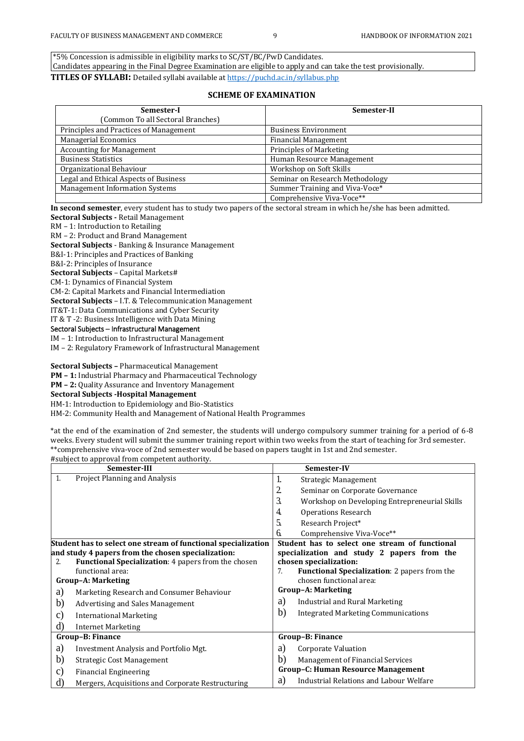\*5% Concession is admissible in eligibility marks to SC/ST/BC/PwD Candidates. Candidates appearing in the Final Degree Examination are eligible to apply and can take the test provisionally. **TITLES OF SYLLABI:** Detailed syllabi available a[t https://puchd.ac.in/syllabus.php](https://puchd.ac.in/syllabus.php)

#### **SCHEME OF EXAMINATION**

| Semester-I                             | Semester-II                     |
|----------------------------------------|---------------------------------|
| (Common To all Sectoral Branches)      |                                 |
| Principles and Practices of Management | <b>Business Environment</b>     |
| <b>Managerial Economics</b>            | <b>Financial Management</b>     |
| <b>Accounting for Management</b>       | Principles of Marketing         |
| <b>Business Statistics</b>             | Human Resource Management       |
| Organizational Behaviour               | Workshop on Soft Skills         |
| Legal and Ethical Aspects of Business  | Seminar on Research Methodology |
| <b>Management Information Systems</b>  | Summer Training and Viva-Voce*  |
|                                        | Comprehensive Viva-Voce**       |

**In second semester**, every student has to study two papers of the sectoral stream in which he/she has been admitted.

**Sectoral Subjects -** Retail Management

RM – 1: Introduction to Retailing

RM – 2: Product and Brand Management

**Sectoral Subjects** - Banking & Insurance Management

B&I-1: Principles and Practices of Banking

B&I-2: Principles of Insurance **Sectoral Subjects** – Capital Markets#

CM-1: Dynamics of Financial System

CM-2: Capital Markets and Financial Intermediation

**Sectoral Subjects** – I.T. & Telecommunication Management

IT&T-1: Data Communications and Cyber Security

IT & T -2: Business Intelligence with Data Mining

Sectoral Subjects – Infrastructural Management

IM – 1: Introduction to Infrastructural Management IM – 2: Regulatory Framework of Infrastructural Management

**Sectoral Subjects –** Pharmaceutical Management

**PM – 1:** Industrial Pharmacy and Pharmaceutical Technology

**PM – 2:** Quality Assurance and Inventory Management

**Sectoral Subjects -Hospital Management**

HM-1: Introduction to Epidemiology and Bio-Statistics

HM-2: Community Health and Management of National Health Programmes

\*at the end of the examination of 2nd semester, the students will undergo compulsory summer training for a period of 6-8 weeks. Every student will submit the summer training report within two weeks from the start of teaching for 3rd semester. \*\*comprehensive viva-voce of 2nd semester would be based on papers taught in 1st and 2nd semester. #subject to approval from competent authority.

|                | Semester-III                                                  |    | Semester-IV                                         |
|----------------|---------------------------------------------------------------|----|-----------------------------------------------------|
| 1.             | Project Planning and Analysis                                 | 1. | Strategic Management                                |
|                |                                                               | 2. | Seminar on Corporate Governance                     |
|                |                                                               | 3. | Workshop on Developing Entrepreneurial Skills       |
|                |                                                               | 4. | <b>Operations Research</b>                          |
|                |                                                               | 5. | Research Project*                                   |
|                |                                                               | 6. | Comprehensive Viva-Voce**                           |
|                | Student has to select one stream of functional specialization |    | Student has to select one stream of functional      |
|                | and study 4 papers from the chosen specialization:            |    | specialization and study 2 papers from the          |
| 2.             | <b>Functional Specialization: 4 papers from the chosen</b>    |    | chosen specialization:                              |
|                | functional area:                                              | 7. | <b>Functional Specialization: 2 papers from the</b> |
|                | <b>Group-A: Marketing</b>                                     |    | chosen functional area:                             |
| a)             | Marketing Research and Consumer Behaviour                     |    | <b>Group-A: Marketing</b>                           |
| b)             | Advertising and Sales Management                              | a) | Industrial and Rural Marketing                      |
| C)             | <b>International Marketing</b>                                | b) | <b>Integrated Marketing Communications</b>          |
| d)             | <b>Internet Marketing</b>                                     |    |                                                     |
|                | Group-B: Finance                                              |    | Group-B: Finance                                    |
| a)             | Investment Analysis and Portfolio Mgt.                        | a) | Corporate Valuation                                 |
| b)             | Strategic Cost Management                                     | b) | Management of Financial Services                    |
| $\mathbf{C}$ ) | <b>Financial Engineering</b>                                  |    | <b>Group-C: Human Resource Management</b>           |
| d)             | Mergers, Acquisitions and Corporate Restructuring             | a) | Industrial Relations and Labour Welfare             |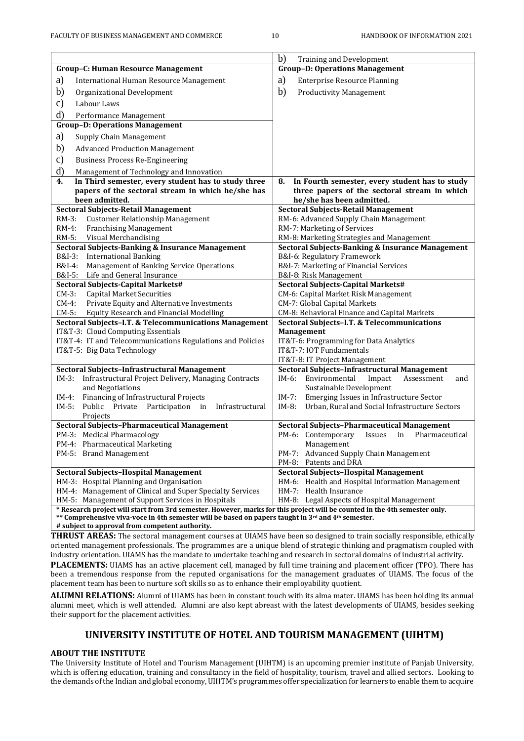|                                                                                                                            | b)<br>Training and Development                                                            |  |
|----------------------------------------------------------------------------------------------------------------------------|-------------------------------------------------------------------------------------------|--|
| <b>Group-C: Human Resource Management</b>                                                                                  | <b>Group-D: Operations Management</b>                                                     |  |
| a)<br>International Human Resource Management                                                                              | a)<br><b>Enterprise Resource Planning</b>                                                 |  |
| b)<br>Organizational Development                                                                                           | $\mathbf{b}$<br><b>Productivity Management</b>                                            |  |
| $\mathbf{c})$<br>Labour Laws                                                                                               |                                                                                           |  |
| d)<br>Performance Management                                                                                               |                                                                                           |  |
| <b>Group-D: Operations Management</b>                                                                                      |                                                                                           |  |
| a)<br>Supply Chain Management                                                                                              |                                                                                           |  |
|                                                                                                                            |                                                                                           |  |
| b)<br><b>Advanced Production Management</b>                                                                                |                                                                                           |  |
| $\mathbf{c})$<br><b>Business Process Re-Engineering</b>                                                                    |                                                                                           |  |
| d)<br>Management of Technology and Innovation                                                                              |                                                                                           |  |
| In Third semester, every student has to study three<br>4.                                                                  | In Fourth semester, every student has to study<br>8.                                      |  |
| papers of the sectoral stream in which he/she has<br>been admitted.                                                        | three papers of the sectoral stream in which<br>he/she has been admitted.                 |  |
| <b>Sectoral Subjects-Retail Management</b>                                                                                 | <b>Sectoral Subjects-Retail Management</b>                                                |  |
| $RM-3$ :<br><b>Customer Relationship Management</b>                                                                        | RM-6: Advanced Supply Chain Management                                                    |  |
| $RM-4$ :<br><b>Franchising Management</b>                                                                                  | RM-7: Marketing of Services                                                               |  |
| RM-5:<br>Visual Merchandising                                                                                              | RM-8: Marketing Strategies and Management                                                 |  |
| <b>Sectoral Subjects-Banking &amp; Insurance Management</b>                                                                | Sectoral Subjects-Banking & Insurance Management                                          |  |
| <b>International Banking</b><br>B&I-3:                                                                                     | B&I-6: Regulatory Framework                                                               |  |
| B&I-4:<br>Management of Banking Service Operations                                                                         | B&I-7: Marketing of Financial Services                                                    |  |
| Life and General Insurance<br>B&I-5:                                                                                       | B&I-8: Risk Management                                                                    |  |
| Sectoral Subjects-Capital Markets#<br><b>Capital Market Securities</b><br>$CM-3:$                                          | Sectoral Subjects-Capital Markets#<br>CM-6: Capital Market Risk Management                |  |
| Private Equity and Alternative Investments<br>$CM-4$ :                                                                     | CM-7: Global Capital Markets                                                              |  |
| $CM-5$ :<br><b>Equity Research and Financial Modelling</b>                                                                 | CM-8: Behavioral Finance and Capital Markets                                              |  |
| Sectoral Subjects-I.T. & Telecommunications Management                                                                     | Sectoral Subjects-I.T. & Telecommunications                                               |  |
| IT&T-3: Cloud Computing Essentials                                                                                         | Management                                                                                |  |
| IT&T-4: IT and Telecommunications Regulations and Policies                                                                 | IT&T-6: Programming for Data Analytics                                                    |  |
| IT&T-5: Big Data Technology                                                                                                | IT&T-7: IOT Fundamentals                                                                  |  |
|                                                                                                                            | IT&T-8: IT Project Management                                                             |  |
| Sectoral Subjects-Infrastructural Management                                                                               | Sectoral Subjects-Infrastructural Management                                              |  |
| $IM-3:$<br>Infrastructural Project Delivery, Managing Contracts<br>and Negotiations                                        | $IM-6$ :<br>Environmental<br>Impact<br>Assessment<br>and<br>Sustainable Development       |  |
| Financing of Infrastructural Projects<br>$IM-4:$                                                                           | $IM-7:$<br>Emerging Issues in Infrastructure Sector                                       |  |
| $IM-5:$<br>Public<br>Private<br>Participation in<br>Infrastructural                                                        | $IM-8:$<br>Urban, Rural and Social Infrastructure Sectors                                 |  |
| Projects                                                                                                                   |                                                                                           |  |
| Sectoral Subjects-Pharmaceutical Management                                                                                | Sectoral Subjects-Pharmaceutical Management                                               |  |
| PM-3: Medical Pharmacology                                                                                                 | PM-6: Contemporary<br>Pharmaceutical<br>Issues<br>in                                      |  |
| PM-4: Pharmaceutical Marketing                                                                                             | Management                                                                                |  |
| PM-5: Brand Management                                                                                                     | PM-7: Advanced Supply Chain Management                                                    |  |
|                                                                                                                            | PM-8: Patents and DRA                                                                     |  |
| <b>Sectoral Subjects-Hospital Management</b><br>HM-3: Hospital Planning and Organisation                                   | Sectoral Subjects-Hospital Management<br>HM-6: Health and Hospital Information Management |  |
| HM-4: Management of Clinical and Super Specialty Services                                                                  | HM-7: Health Insurance                                                                    |  |
| HM-5: Management of Support Services in Hospitals                                                                          | HM-8: Legal Aspects of Hospital Management                                                |  |
| * Research project will start from 3rd semester. However, marks for this project will be counted in the 4th semester only. |                                                                                           |  |
| ** Comprehensive viva-voce in 4th semester will be based on papers taught in 3 <sup>rd</sup> and 4 <sup>th</sup> semester. |                                                                                           |  |

**# subject to approval from competent authority.** 

**THRUST AREAS:** The sectoral management courses at UIAMS have been so designed to train socially responsible, ethically oriented management professionals. The programmes are a unique blend of strategic thinking and pragmatism coupled with industry orientation. UIAMS has the mandate to undertake teaching and research in sectoral domains of industrial activity.

**PLACEMENTS:** UIAMS has an active placement cell, managed by full time training and placement officer (TPO). There has been a tremendous response from the reputed organisations for the management graduates of UIAMS. The focus of the placement team has been to nurture soft skills so as to enhance their employability quotient.

**ALUMNI RELATIONS:** Alumni of UIAMS has been in constant touch with its alma mater. UIAMS has been holding its annual alumni meet, which is well attended. Alumni are also kept abreast with the latest developments of UIAMS, besides seeking their support for the placement activities.

# **UNIVERSITY INSTITUTE OF HOTEL AND TOURISM MANAGEMENT (UIHTM)**

### **ABOUT THE INSTITUTE**

The University Institute of Hotel and Tourism Management (UIHTM) is an upcoming premier institute of Panjab University, which is offering education, training and consultancy in the field of hospitality, tourism, travel and allied sectors. Looking to the demands of the Indian and global economy, UIHTM's programmes offer specialization for learners to enable them to acquire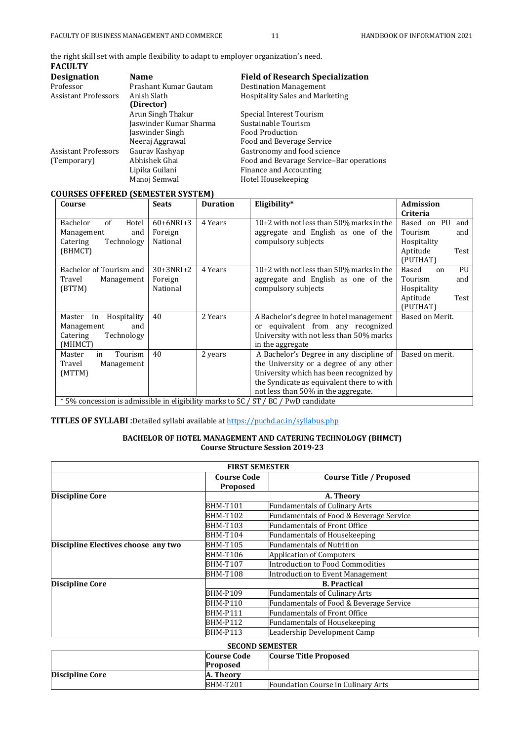the right skill set with ample flexibility to adapt to employer organization's need. **FACULTY** 

| raculi i                    |                        |                                          |
|-----------------------------|------------------------|------------------------------------------|
| <b>Designation</b>          | <b>Name</b>            | <b>Field of Research Specialization</b>  |
| Professor                   | Prashant Kumar Gautam  | <b>Destination Management</b>            |
| <b>Assistant Professors</b> | Anish Slath            | Hospitality Sales and Marketing          |
|                             | (Director)             |                                          |
|                             | Arun Singh Thakur      | Special Interest Tourism                 |
|                             | Jaswinder Kumar Sharma | Sustainable Tourism                      |
|                             | Jaswinder Singh        | Food Production                          |
|                             | Neeraj Aggrawal        | Food and Beverage Service                |
| <b>Assistant Professors</b> | Gauray Kashyap         | Gastronomy and food science              |
| (Temporary)                 | Abhishek Ghai          | Food and Bevarage Service-Bar operations |
|                             | Lipika Guilani         | Finance and Accounting                   |
|                             | Manoj Semwal           | Hotel Housekeeping                       |
|                             |                        |                                          |

## **COURSES OFFERED (SEMESTER SYSTEM)**

| Course                                                                                        | <b>Seats</b> | <b>Duration</b> | Eligibility*                               | <b>Admission</b>             |  |
|-----------------------------------------------------------------------------------------------|--------------|-----------------|--------------------------------------------|------------------------------|--|
|                                                                                               |              |                 |                                            | Criteria                     |  |
| of<br>Bachelor<br>Hotel                                                                       | $60+6NRI+3$  | 4 Years         | 10+2 with not less than 50% marks in the   | Based on PU<br>and           |  |
| Management<br>and                                                                             | Foreign      |                 | aggregate and English as one of the        | Tourism<br>and               |  |
| Technology<br>Catering                                                                        | National     |                 | compulsory subjects                        | Hospitality                  |  |
| (BHMCT)                                                                                       |              |                 |                                            | Aptitude<br>Test             |  |
|                                                                                               |              |                 |                                            | (PUTHAT)                     |  |
| Bachelor of Tourism and                                                                       | $30+3NRI+2$  | 4 Years         | $10+2$ with not less than 50% marks in the | Based<br>PU<br><sub>on</sub> |  |
| Travel<br>Management                                                                          | Foreign      |                 | aggregate and English as one of the        | Tourism<br>and               |  |
| (BTTM)                                                                                        | National     |                 | compulsory subjects                        | Hospitality                  |  |
|                                                                                               |              |                 |                                            | Aptitude<br>Test             |  |
|                                                                                               |              |                 |                                            | (PUTHAT)                     |  |
| Hospitality<br>Master<br>in                                                                   | 40           | 2 Years         | A Bachelor's degree in hotel management    | Based on Merit.              |  |
| Management<br>and                                                                             |              |                 | or equivalent from any recognized          |                              |  |
| Technology<br>Catering                                                                        |              |                 | University with not less than 50% marks    |                              |  |
| (MHMCT)                                                                                       |              |                 | in the aggregate                           |                              |  |
| Tourism<br>Master<br>in                                                                       | 40           | 2 years         | A Bachelor's Degree in any discipline of   | Based on merit.              |  |
| Management<br>Travel                                                                          |              |                 | the University or a degree of any other    |                              |  |
| (MTTM)                                                                                        |              |                 | University which has been recognized by    |                              |  |
|                                                                                               |              |                 | the Syndicate as equivalent there to with  |                              |  |
|                                                                                               |              |                 | not less than 50% in the aggregate.        |                              |  |
| $*$ 50% concossion is admissible in eligibility marks to $SC$ / $CT$ / $RC$ / $DwD$ candidate |              |                 |                                            |                              |  |

\* 5% concession is admissible in eligibility marks to SC / ST / BC / PwD candidate L

**TITLES OF SYLLABI** :Detailed syllabi available a[t https://puchd.ac.in/syllabus.php](https://puchd.ac.in/syllabus.php)

### **BACHELOR OF HOTEL MANAGEMENT AND CATERING TECHNOLOGY (BHMCT) Course Structure Session 2019-23**

| <b>FIRST SEMESTER</b>               |                                       |                                         |  |  |
|-------------------------------------|---------------------------------------|-----------------------------------------|--|--|
|                                     | <b>Course Code</b><br><b>Proposed</b> | <b>Course Title / Proposed</b>          |  |  |
| <b>Discipline Core</b>              |                                       | A. Theory                               |  |  |
|                                     | <b>BHM-T101</b>                       | <b>Fundamentals of Culinary Arts</b>    |  |  |
|                                     | <b>BHM-T102</b>                       | Fundamentals of Food & Beverage Service |  |  |
|                                     | <b>BHM-T103</b>                       | <b>Fundamentals of Front Office</b>     |  |  |
|                                     | <b>BHM-T104</b>                       | Fundamentals of Housekeeping            |  |  |
| Discipline Electives choose any two | <b>BHM-T105</b>                       | Fundamentals of Nutrition               |  |  |
|                                     | <b>BHM-T106</b>                       | <b>Application of Computers</b>         |  |  |
|                                     | <b>BHM-T107</b>                       | Introduction to Food Commodities        |  |  |
|                                     | <b>BHM-T108</b>                       | Introduction to Event Management        |  |  |
| <b>Discipline Core</b>              | <b>B.</b> Practical                   |                                         |  |  |
|                                     | <b>BHM-P109</b>                       | <b>Fundamentals of Culinary Arts</b>    |  |  |
|                                     | <b>BHM-P110</b>                       | Fundamentals of Food & Beverage Service |  |  |
|                                     | <b>BHM-P111</b>                       | Fundamentals of Front Office            |  |  |
|                                     | <b>BHM-P112</b>                       | <b>Fundamentals of Housekeeping</b>     |  |  |
|                                     | <b>BHM-P113</b>                       | Leadership Development Camp             |  |  |

| <b>SECOND SEMESTER</b>                             |                 |                                    |  |
|----------------------------------------------------|-----------------|------------------------------------|--|
| <b>Course Title Proposed</b><br><b>Course Code</b> |                 |                                    |  |
|                                                    | Proposed        |                                    |  |
| <b>Discipline Core</b>                             | A. Theory       |                                    |  |
|                                                    | <b>BHM-T201</b> | Foundation Course in Culinary Arts |  |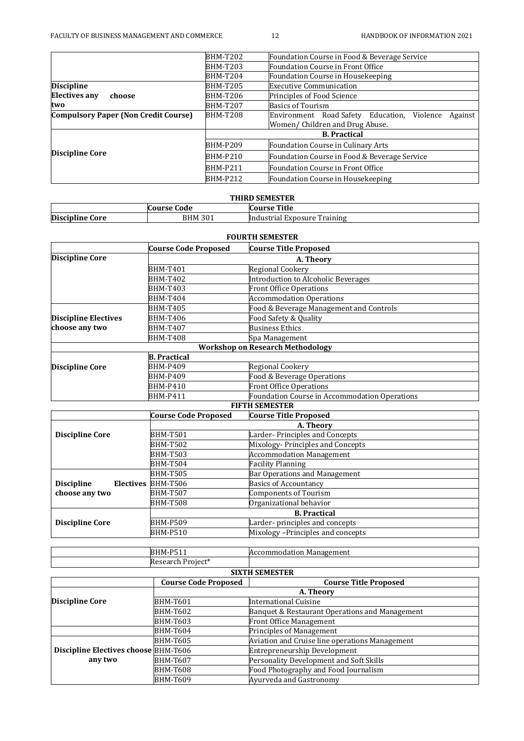|                                             | <b>BHM-T202</b> | Foundation Course in Food & Beverage Service              |  |  |
|---------------------------------------------|-----------------|-----------------------------------------------------------|--|--|
|                                             | <b>BHM-T203</b> | Foundation Course in Front Office                         |  |  |
|                                             | <b>BHM-T204</b> | Foundation Course in Housekeeping                         |  |  |
| <b>Discipline</b>                           | <b>BHM-T205</b> | <b>Executive Communication</b>                            |  |  |
| <b>Electives any</b><br>choose              | <b>BHM-T206</b> | Principles of Food Science                                |  |  |
| two                                         | <b>BHM-T207</b> | <b>Basics of Tourism</b>                                  |  |  |
| <b>Compulsory Paper (Non Credit Course)</b> | <b>BHM-T208</b> | Environment Road Safety Education,<br>Violence<br>Against |  |  |
|                                             |                 | Women/ Children and Drug Abuse.                           |  |  |
|                                             |                 | <b>B.</b> Practical                                       |  |  |
|                                             | <b>BHM-P209</b> | Foundation Course in Culinary Arts                        |  |  |
| <b>Discipline Core</b>                      | <b>BHM-P210</b> | Foundation Course in Food & Beverage Service              |  |  |
|                                             | <b>BHM-P211</b> | Foundation Course in Front Office                         |  |  |
|                                             | <b>BHM-P212</b> | Foundation Course in Housekeeping                         |  |  |

| <b>THIRD SEMESTER</b>  |                |                              |  |
|------------------------|----------------|------------------------------|--|
|                        | Course Code    | Course Title                 |  |
| <b>Discipline Core</b> | <b>BHM 301</b> | Industrial Exposure Training |  |

| <b>FOURTH SEMESTER</b>      |                             |                                               |  |
|-----------------------------|-----------------------------|-----------------------------------------------|--|
|                             | <b>Course Code Proposed</b> | <b>Course Title Proposed</b>                  |  |
| <b>Discipline Core</b>      |                             | A. Theory                                     |  |
|                             | <b>BHM-T401</b>             | <b>Regional Cookery</b>                       |  |
|                             | <b>BHM-T402</b>             | <b>Introduction to Alcoholic Beverages</b>    |  |
|                             | <b>BHM-T403</b>             | <b>Front Office Operations</b>                |  |
|                             | <b>BHM-T404</b>             | <b>Accommodation Operations</b>               |  |
|                             | <b>BHM-T405</b>             | Food & Beverage Management and Controls       |  |
| <b>Discipline Electives</b> | <b>BHM-T406</b>             | Food Safety & Quality                         |  |
| choose any two              | <b>BHM-T407</b>             | <b>Business Ethics</b>                        |  |
|                             | <b>BHM-T408</b>             | Spa Management                                |  |
|                             |                             | <b>Workshop on Research Methodology</b>       |  |
|                             | <b>B.</b> Practical         |                                               |  |
| <b>Discipline Core</b>      | <b>BHM-P409</b>             | Regional Cookery                              |  |
|                             | <b>BHM-P409</b>             | Food & Beverage Operations                    |  |
|                             | <b>BHM-P410</b>             | <b>Front Office Operations</b>                |  |
|                             | <b>BHM-P411</b>             | Foundation Course in Accommodation Operations |  |
|                             |                             | <b>FIFTH SEMESTER</b>                         |  |
|                             | <b>Course Code Proposed</b> | <b>Course Title Proposed</b>                  |  |
|                             |                             | A. Theory                                     |  |
| <b>Discipline Core</b>      | <b>BHM-T501</b>             | Larder-Principles and Concepts                |  |
|                             | <b>BHM-T502</b>             | Mixology-Principles and Concepts              |  |
|                             | <b>BHM-T503</b>             | <b>Accommodation Management</b>               |  |
|                             | <b>BHM-T504</b>             | <b>Facility Planning</b>                      |  |
|                             | <b>BHM-T505</b>             | Bar Operations and Management                 |  |
| <b>Discipline</b>           | Electives BHM-T506          | <b>Basics of Accountancy</b>                  |  |
| choose any two              | <b>BHM-T507</b>             | <b>Components of Tourism</b>                  |  |
|                             | <b>BHM-T508</b>             | Organizational behavior                       |  |
|                             |                             | <b>B.</b> Practical                           |  |
| <b>Discipline Core</b>      | <b>BHM-P509</b>             | Larder-principles and concepts                |  |
|                             | <b>BHM-P510</b>             | Mixology -Principles and concepts             |  |
|                             |                             |                                               |  |

| <b>SIXTH SEMESTER</b> |                      |                             |  |
|-----------------------|----------------------|-----------------------------|--|
|                       | Project*<br>Jocoarch |                             |  |
|                       | $BHM-PL4.7$<br>ັ້    | ommodation Management<br>IΑ |  |

|                                             | <b>Course Code Proposed</b> | <u>Jiahu Jepel Err</u><br><b>Course Title Proposed</b> |
|---------------------------------------------|-----------------------------|--------------------------------------------------------|
|                                             |                             | A. Theory                                              |
| <b>Discipline Core</b>                      | <b>BHM-T601</b>             | International Cuisine                                  |
|                                             | <b>BHM-T602</b>             | Banquet & Restaurant Operations and Management         |
|                                             | <b>BHM-T603</b>             | Front Office Management                                |
|                                             | <b>BHM-T604</b>             | <b>Principles of Management</b>                        |
|                                             | <b>BHM-T605</b>             | Aviation and Cruise line operations Management         |
| <b>Discipline Electives choose BHM-T606</b> |                             | Entrepreneurship Development                           |
| any two                                     | <b>BHM-T607</b>             | Personality Development and Soft Skills                |
|                                             | BHM-T608                    | Food Photography and Food Journalism                   |
|                                             | <b>BHM-T609</b>             | Ayurveda and Gastronomy                                |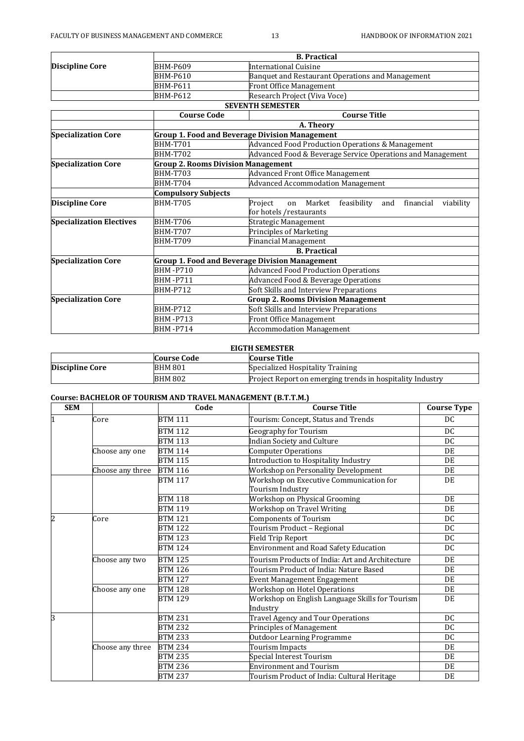|                                 |                                           | <b>B.</b> Practical                                                     |  |
|---------------------------------|-------------------------------------------|-------------------------------------------------------------------------|--|
| <b>Discipline Core</b>          | BHM-P609                                  | International Cuisine                                                   |  |
|                                 | BHM-P610                                  | Banquet and Restaurant Operations and Management                        |  |
|                                 | <b>BHM-P611</b>                           | <b>Front Office Management</b>                                          |  |
|                                 | <b>BHM-P612</b>                           | Research Project (Viva Voce)                                            |  |
|                                 |                                           | <b>SEVENTH SEMESTER</b>                                                 |  |
|                                 | <b>Course Code</b>                        | <b>Course Title</b>                                                     |  |
|                                 |                                           | A. Theory                                                               |  |
| <b>Specialization Core</b>      |                                           | Group 1. Food and Beverage Division Management                          |  |
|                                 | <b>BHM-T701</b>                           | Advanced Food Production Operations & Management                        |  |
|                                 | <b>BHM-T702</b>                           | Advanced Food & Beverage Service Operations and Management              |  |
| <b>Specialization Core</b>      | <b>Group 2. Rooms Division Management</b> |                                                                         |  |
|                                 | <b>BHM-T703</b>                           | <b>Advanced Front Office Management</b>                                 |  |
|                                 | <b>BHM-T704</b>                           | <b>Advanced Accommodation Management</b>                                |  |
|                                 | <b>Compulsory Subjects</b>                |                                                                         |  |
| <b>Discipline Core</b>          | <b>BHM-T705</b>                           | Project<br>feasibility<br>Market<br>financial<br>and<br>viability<br>on |  |
|                                 |                                           | for hotels / restaurants                                                |  |
| <b>Specialization Electives</b> | <b>BHM-T706</b>                           | Strategic Management                                                    |  |
|                                 | <b>BHM-T707</b>                           | Principles of Marketing                                                 |  |
|                                 | <b>BHM-T709</b>                           | Financial Management                                                    |  |
|                                 |                                           | <b>B.</b> Practical                                                     |  |
| <b>Specialization Core</b>      |                                           | Group 1. Food and Beverage Division Management                          |  |
|                                 | <b>BHM-P710</b>                           | <b>Advanced Food Production Operations</b>                              |  |
|                                 | <b>BHM-P711</b>                           | Advanced Food & Beverage Operations                                     |  |
|                                 | <b>BHM-P712</b>                           | Soft Skills and Interview Preparations                                  |  |
| <b>Specialization Core</b>      | <b>Group 2. Rooms Division Management</b> |                                                                         |  |
|                                 | <b>BHM-P712</b>                           | Soft Skills and Interview Preparations                                  |  |
|                                 | <b>BHM-P713</b>                           | Front Office Management                                                 |  |
|                                 | <b>BHM-P714</b>                           | <b>Accommodation Management</b>                                         |  |

| EIGTH SEMESTER                     |                |                                                           |  |
|------------------------------------|----------------|-----------------------------------------------------------|--|
| Course Title<br><b>Course Code</b> |                |                                                           |  |
| <b>Discipline Core</b>             | <b>BHM 801</b> | Specialized Hospitality Training                          |  |
|                                    | <b>BHM 802</b> | Project Report on emerging trends in hospitality Industry |  |

## **Course: BACHELOR OF TOURISM AND TRAVEL MANAGEMENT (B.T.T.M.)**

| <b>SEM</b> |                  | Code           | <b>Course Title</b>                             | <b>Course Type</b> |
|------------|------------------|----------------|-------------------------------------------------|--------------------|
|            | Core             | <b>BTM 111</b> | Tourism: Concept, Status and Trends             | DC                 |
|            |                  | <b>BTM 112</b> | <b>Geography for Tourism</b>                    | DC.                |
|            |                  | <b>BTM 113</b> | <b>Indian Society and Culture</b>               | DC                 |
|            | Choose any one   | <b>BTM 114</b> | <b>Computer Operations</b>                      | DE                 |
|            |                  | <b>BTM 115</b> | Introduction to Hospitality Industry            | DE                 |
|            | Choose any three | <b>BTM 116</b> | Workshop on Personality Development             | DE                 |
|            |                  | <b>BTM 117</b> | Workshop on Executive Communication for         | DE                 |
|            |                  |                | Tourism Industry                                |                    |
|            |                  | <b>BTM 118</b> | Workshop on Physical Grooming                   | DE                 |
|            |                  | <b>BTM 119</b> | Workshop on Travel Writing                      | DE                 |
| 2          | Core             | <b>BTM 121</b> | <b>Components of Tourism</b>                    | DC                 |
|            |                  | <b>BTM 122</b> | Tourism Product - Regional                      | DC                 |
|            |                  | <b>BTM 123</b> | <b>Field Trip Report</b>                        | DC                 |
|            |                  | <b>BTM 124</b> | <b>Environment and Road Safety Education</b>    | DC                 |
|            | Choose any two   | <b>BTM 125</b> | Tourism Products of India: Art and Architecture | DE                 |
|            |                  | <b>BTM 126</b> | Tourism Product of India: Nature Based          | DE                 |
|            |                  | <b>BTM 127</b> | <b>Event Management Engagement</b>              | DE                 |
|            | Choose any one   | <b>BTM 128</b> | Workshop on Hotel Operations                    | DE                 |
|            |                  | <b>BTM 129</b> | Workshop on English Language Skills for Tourism | DE                 |
|            |                  |                | Industry                                        |                    |
| 3          |                  | <b>BTM 231</b> | Travel Agency and Tour Operations               | DC                 |
|            |                  | <b>BTM 232</b> | Principles of Management                        | DC                 |
|            |                  | <b>BTM 233</b> | <b>Outdoor Learning Programme</b>               | DC                 |
|            | Choose any three | <b>BTM 234</b> | <b>Tourism Impacts</b>                          | DE                 |
|            |                  | <b>BTM 235</b> | Special Interest Tourism                        | DE                 |
|            |                  | <b>BTM 236</b> | <b>Environment and Tourism</b>                  | DE                 |
|            |                  | <b>BTM 237</b> | Tourism Product of India: Cultural Heritage     | DE                 |